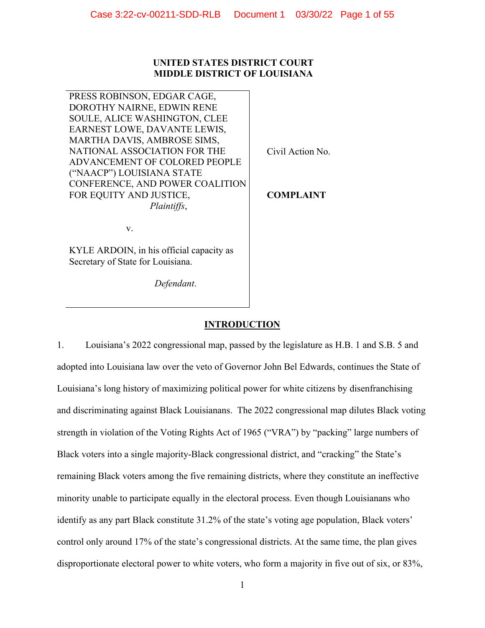## **UNITED STATES DISTRICT COURT MIDDLE DISTRICT OF LOUISIANA**

PRESS ROBINSON, EDGAR CAGE, DOROTHY NAIRNE, EDWIN RENE SOULE, ALICE WASHINGTON, CLEE EARNEST LOWE, DAVANTE LEWIS, MARTHA DAVIS, AMBROSE SIMS, NATIONAL ASSOCIATION FOR THE ADVANCEMENT OF COLORED PEOPLE ("NAACP") LOUISIANA STATE CONFERENCE, AND POWER COALITION FOR EQUITY AND JUSTICE,  *Plaintiffs*,

Civil Action No.

**COMPLAINT**

v.

KYLE ARDOIN, in his official capacity as Secretary of State for Louisiana.

*Defendant*.

# **INTRODUCTION**

1. Louisiana's 2022 congressional map, passed by the legislature as H.B. 1 and S.B. 5 and adopted into Louisiana law over the veto of Governor John Bel Edwards, continues the State of Louisiana's long history of maximizing political power for white citizens by disenfranchising and discriminating against Black Louisianans. The 2022 congressional map dilutes Black voting strength in violation of the Voting Rights Act of 1965 ("VRA") by "packing" large numbers of Black voters into a single majority-Black congressional district, and "cracking" the State's remaining Black voters among the five remaining districts, where they constitute an ineffective minority unable to participate equally in the electoral process. Even though Louisianans who identify as any part Black constitute 31.2% of the state's voting age population, Black voters' control only around 17% of the state's congressional districts. At the same time, the plan gives disproportionate electoral power to white voters, who form a majority in five out of six, or 83%,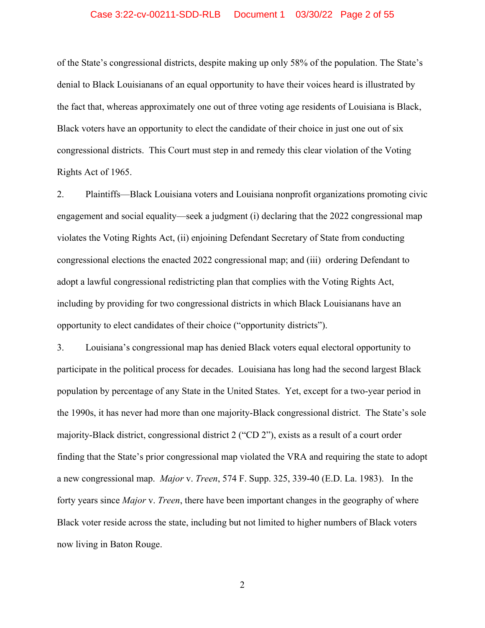## Case 3:22-cv-00211-SDD-RLB Document 1 03/30/22 Page 2 of 55

of the State's congressional districts, despite making up only 58% of the population. The State's denial to Black Louisianans of an equal opportunity to have their voices heard is illustrated by the fact that, whereas approximately one out of three voting age residents of Louisiana is Black, Black voters have an opportunity to elect the candidate of their choice in just one out of six congressional districts. This Court must step in and remedy this clear violation of the Voting Rights Act of 1965.

2. Plaintiffs—Black Louisiana voters and Louisiana nonprofit organizations promoting civic engagement and social equality—seek a judgment (i) declaring that the 2022 congressional map violates the Voting Rights Act, (ii) enjoining Defendant Secretary of State from conducting congressional elections the enacted 2022 congressional map; and (iii) ordering Defendant to adopt a lawful congressional redistricting plan that complies with the Voting Rights Act, including by providing for two congressional districts in which Black Louisianans have an opportunity to elect candidates of their choice ("opportunity districts").

3. Louisiana's congressional map has denied Black voters equal electoral opportunity to participate in the political process for decades. Louisiana has long had the second largest Black population by percentage of any State in the United States. Yet, except for a two-year period in the 1990s, it has never had more than one majority-Black congressional district. The State's sole majority-Black district, congressional district 2 ("CD 2"), exists as a result of a court order finding that the State's prior congressional map violated the VRA and requiring the state to adopt a new congressional map. *Major* v. *Treen*, 574 F. Supp. 325, 339-40 (E.D. La. 1983). In the forty years since *Major* v. *Treen*, there have been important changes in the geography of where Black voter reside across the state, including but not limited to higher numbers of Black voters now living in Baton Rouge.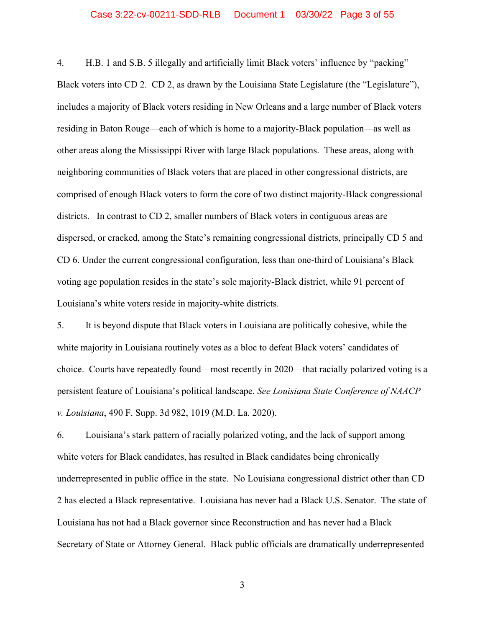## Case 3:22-cv-00211-SDD-RLB Document 1 03/30/22 Page 3 of 55

4. H.B. 1 and S.B. 5 illegally and artificially limit Black voters' influence by "packing" Black voters into CD 2. CD 2, as drawn by the Louisiana State Legislature (the "Legislature"), includes a majority of Black voters residing in New Orleans and a large number of Black voters residing in Baton Rouge—each of which is home to a majority-Black population—as well as other areas along the Mississippi River with large Black populations. These areas, along with neighboring communities of Black voters that are placed in other congressional districts, are comprised of enough Black voters to form the core of two distinct majority-Black congressional districts. In contrast to CD 2, smaller numbers of Black voters in contiguous areas are dispersed, or cracked, among the State's remaining congressional districts, principally CD 5 and CD 6. Under the current congressional configuration, less than one-third of Louisiana's Black voting age population resides in the state's sole majority-Black district, while 91 percent of Louisiana's white voters reside in majority-white districts.

5. It is beyond dispute that Black voters in Louisiana are politically cohesive, while the white majority in Louisiana routinely votes as a bloc to defeat Black voters' candidates of choice. Courts have repeatedly found—most recently in 2020—that racially polarized voting is a persistent feature of Louisiana's political landscape. *See Louisiana State Conference of NAACP v. Louisiana*, 490 F. Supp. 3d 982, 1019 (M.D. La. 2020).

6. Louisiana's stark pattern of racially polarized voting, and the lack of support among white voters for Black candidates, has resulted in Black candidates being chronically underrepresented in public office in the state. No Louisiana congressional district other than CD 2 has elected a Black representative. Louisiana has never had a Black U.S. Senator. The state of Louisiana has not had a Black governor since Reconstruction and has never had a Black Secretary of State or Attorney General. Black public officials are dramatically underrepresented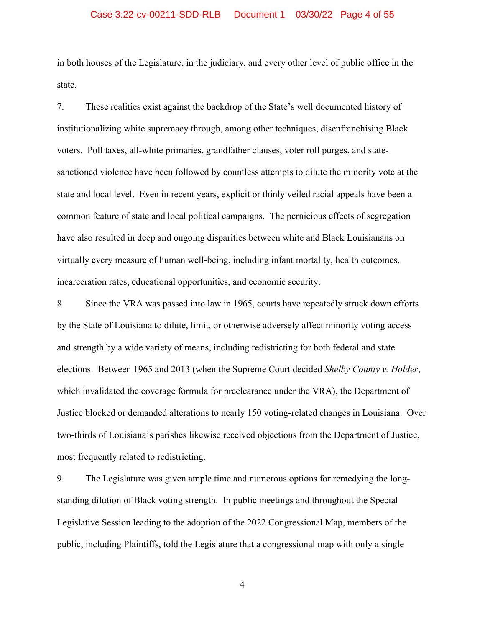## Case 3:22-cv-00211-SDD-RLB Document 1 03/30/22 Page 4 of 55

in both houses of the Legislature, in the judiciary, and every other level of public office in the state.

7. These realities exist against the backdrop of the State's well documented history of institutionalizing white supremacy through, among other techniques, disenfranchising Black voters. Poll taxes, all-white primaries, grandfather clauses, voter roll purges, and statesanctioned violence have been followed by countless attempts to dilute the minority vote at the state and local level. Even in recent years, explicit or thinly veiled racial appeals have been a common feature of state and local political campaigns. The pernicious effects of segregation have also resulted in deep and ongoing disparities between white and Black Louisianans on virtually every measure of human well-being, including infant mortality, health outcomes, incarceration rates, educational opportunities, and economic security.

8. Since the VRA was passed into law in 1965, courts have repeatedly struck down efforts by the State of Louisiana to dilute, limit, or otherwise adversely affect minority voting access and strength by a wide variety of means, including redistricting for both federal and state elections. Between 1965 and 2013 (when the Supreme Court decided *Shelby County v. Holder*, which invalidated the coverage formula for preclearance under the VRA), the Department of Justice blocked or demanded alterations to nearly 150 voting-related changes in Louisiana. Over two-thirds of Louisiana's parishes likewise received objections from the Department of Justice, most frequently related to redistricting.

9. The Legislature was given ample time and numerous options for remedying the longstanding dilution of Black voting strength. In public meetings and throughout the Special Legislative Session leading to the adoption of the 2022 Congressional Map, members of the public, including Plaintiffs, told the Legislature that a congressional map with only a single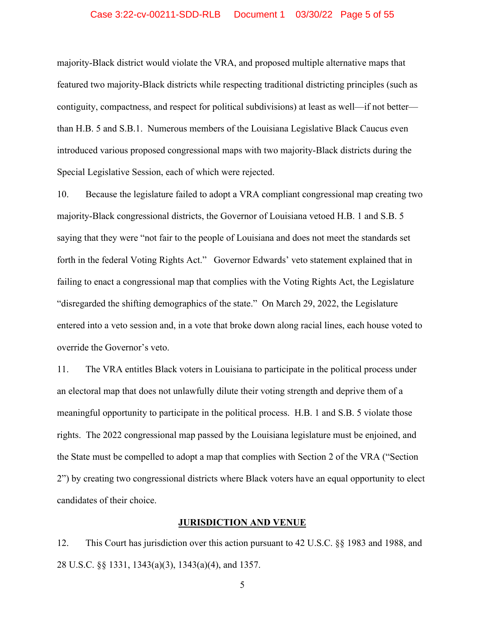## Case 3:22-cv-00211-SDD-RLB Document 1 03/30/22 Page 5 of 55

majority-Black district would violate the VRA, and proposed multiple alternative maps that featured two majority-Black districts while respecting traditional districting principles (such as contiguity, compactness, and respect for political subdivisions) at least as well—if not better than H.B. 5 and S.B.1. Numerous members of the Louisiana Legislative Black Caucus even introduced various proposed congressional maps with two majority-Black districts during the Special Legislative Session, each of which were rejected.

10. Because the legislature failed to adopt a VRA compliant congressional map creating two majority-Black congressional districts, the Governor of Louisiana vetoed H.B. 1 and S.B. 5 saying that they were "not fair to the people of Louisiana and does not meet the standards set forth in the federal Voting Rights Act." Governor Edwards' veto statement explained that in failing to enact a congressional map that complies with the Voting Rights Act, the Legislature "disregarded the shifting demographics of the state." On March 29, 2022, the Legislature entered into a veto session and, in a vote that broke down along racial lines, each house voted to override the Governor's veto.

11. The VRA entitles Black voters in Louisiana to participate in the political process under an electoral map that does not unlawfully dilute their voting strength and deprive them of a meaningful opportunity to participate in the political process. H.B. 1 and S.B. 5 violate those rights. The 2022 congressional map passed by the Louisiana legislature must be enjoined, and the State must be compelled to adopt a map that complies with Section 2 of the VRA ("Section 2") by creating two congressional districts where Black voters have an equal opportunity to elect candidates of their choice.

## **JURISDICTION AND VENUE**

12. This Court has jurisdiction over this action pursuant to 42 U.S.C. §§ 1983 and 1988, and 28 U.S.C. §§ 1331, 1343(a)(3), 1343(a)(4), and 1357.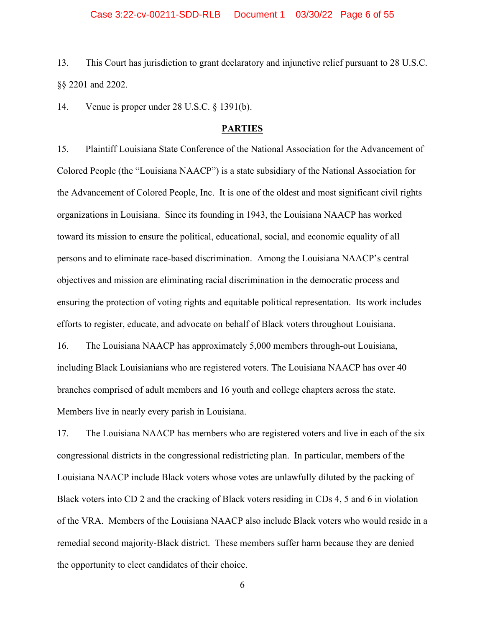13. This Court has jurisdiction to grant declaratory and injunctive relief pursuant to 28 U.S.C. §§ 2201 and 2202.

14. Venue is proper under 28 U.S.C. § 1391(b).

## **PARTIES**

15. Plaintiff Louisiana State Conference of the National Association for the Advancement of Colored People (the "Louisiana NAACP") is a state subsidiary of the National Association for the Advancement of Colored People, Inc. It is one of the oldest and most significant civil rights organizations in Louisiana. Since its founding in 1943, the Louisiana NAACP has worked toward its mission to ensure the political, educational, social, and economic equality of all persons and to eliminate race-based discrimination. Among the Louisiana NAACP's central objectives and mission are eliminating racial discrimination in the democratic process and ensuring the protection of voting rights and equitable political representation. Its work includes efforts to register, educate, and advocate on behalf of Black voters throughout Louisiana. 16. The Louisiana NAACP has approximately 5,000 members through-out Louisiana,

including Black Louisianians who are registered voters. The Louisiana NAACP has over 40 branches comprised of adult members and 16 youth and college chapters across the state. Members live in nearly every parish in Louisiana.

17. The Louisiana NAACP has members who are registered voters and live in each of the six congressional districts in the congressional redistricting plan. In particular, members of the Louisiana NAACP include Black voters whose votes are unlawfully diluted by the packing of Black voters into CD 2 and the cracking of Black voters residing in CDs 4, 5 and 6 in violation of the VRA. Members of the Louisiana NAACP also include Black voters who would reside in a remedial second majority-Black district. These members suffer harm because they are denied the opportunity to elect candidates of their choice.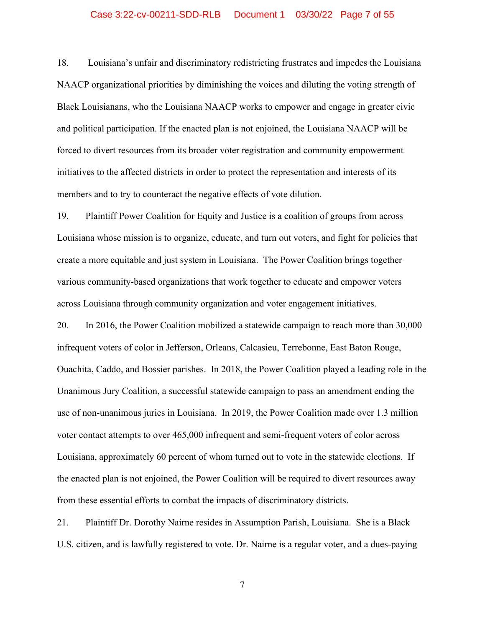## Case 3:22-cv-00211-SDD-RLB Document 1 03/30/22 Page 7 of 55

18. Louisiana's unfair and discriminatory redistricting frustrates and impedes the Louisiana NAACP organizational priorities by diminishing the voices and diluting the voting strength of Black Louisianans, who the Louisiana NAACP works to empower and engage in greater civic and political participation. If the enacted plan is not enjoined, the Louisiana NAACP will be forced to divert resources from its broader voter registration and community empowerment initiatives to the affected districts in order to protect the representation and interests of its members and to try to counteract the negative effects of vote dilution.

19. Plaintiff Power Coalition for Equity and Justice is a coalition of groups from across Louisiana whose mission is to organize, educate, and turn out voters, and fight for policies that create a more equitable and just system in Louisiana. The Power Coalition brings together various community-based organizations that work together to educate and empower voters across Louisiana through community organization and voter engagement initiatives.

20. In 2016, the Power Coalition mobilized a statewide campaign to reach more than 30,000 infrequent voters of color in Jefferson, Orleans, Calcasieu, Terrebonne, East Baton Rouge, Ouachita, Caddo, and Bossier parishes. In 2018, the Power Coalition played a leading role in the Unanimous Jury Coalition, a successful statewide campaign to pass an amendment ending the use of non-unanimous juries in Louisiana. In 2019, the Power Coalition made over 1.3 million voter contact attempts to over 465,000 infrequent and semi-frequent voters of color across Louisiana, approximately 60 percent of whom turned out to vote in the statewide elections. If the enacted plan is not enjoined, the Power Coalition will be required to divert resources away from these essential efforts to combat the impacts of discriminatory districts.

21. Plaintiff Dr. Dorothy Nairne resides in Assumption Parish, Louisiana. She is a Black U.S. citizen, and is lawfully registered to vote. Dr. Nairne is a regular voter, and a dues-paying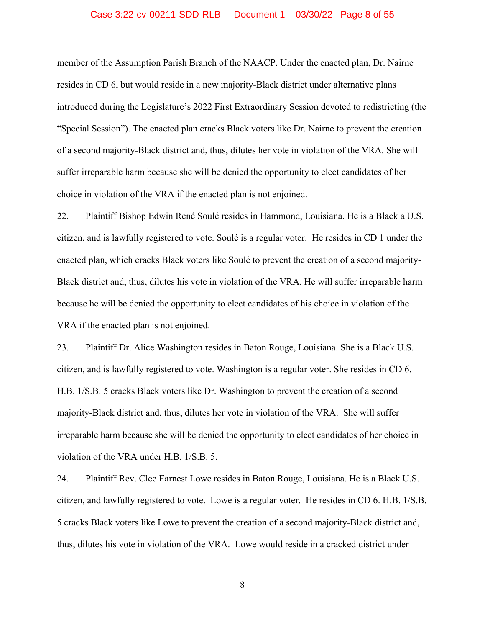## Case 3:22-cv-00211-SDD-RLB Document 1 03/30/22 Page 8 of 55

member of the Assumption Parish Branch of the NAACP. Under the enacted plan, Dr. Nairne resides in CD 6, but would reside in a new majority-Black district under alternative plans introduced during the Legislature's 2022 First Extraordinary Session devoted to redistricting (the "Special Session"). The enacted plan cracks Black voters like Dr. Nairne to prevent the creation of a second majority-Black district and, thus, dilutes her vote in violation of the VRA. She will suffer irreparable harm because she will be denied the opportunity to elect candidates of her choice in violation of the VRA if the enacted plan is not enjoined.

22. Plaintiff Bishop Edwin René Soulé resides in Hammond, Louisiana. He is a Black a U.S. citizen, and is lawfully registered to vote. Soulé is a regular voter. He resides in CD 1 under the enacted plan, which cracks Black voters like Soulé to prevent the creation of a second majority-Black district and, thus, dilutes his vote in violation of the VRA. He will suffer irreparable harm because he will be denied the opportunity to elect candidates of his choice in violation of the VRA if the enacted plan is not enjoined.

23. Plaintiff Dr. Alice Washington resides in Baton Rouge, Louisiana. She is a Black U.S. citizen, and is lawfully registered to vote. Washington is a regular voter. She resides in CD 6. H.B. 1/S.B. 5 cracks Black voters like Dr. Washington to prevent the creation of a second majority-Black district and, thus, dilutes her vote in violation of the VRA. She will suffer irreparable harm because she will be denied the opportunity to elect candidates of her choice in violation of the VRA under H.B. 1/S.B. 5.

24. Plaintiff Rev. Clee Earnest Lowe resides in Baton Rouge, Louisiana. He is a Black U.S. citizen, and lawfully registered to vote. Lowe is a regular voter. He resides in CD 6. H.B. 1/S.B. 5 cracks Black voters like Lowe to prevent the creation of a second majority-Black district and, thus, dilutes his vote in violation of the VRA. Lowe would reside in a cracked district under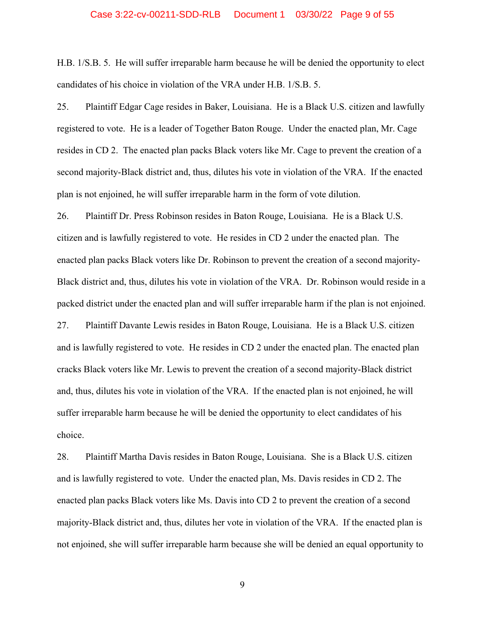## Case 3:22-cv-00211-SDD-RLB Document 1 03/30/22 Page 9 of 55

H.B. 1/S.B. 5. He will suffer irreparable harm because he will be denied the opportunity to elect candidates of his choice in violation of the VRA under H.B. 1/S.B. 5.

25. Plaintiff Edgar Cage resides in Baker, Louisiana. He is a Black U.S. citizen and lawfully registered to vote. He is a leader of Together Baton Rouge. Under the enacted plan, Mr. Cage resides in CD 2. The enacted plan packs Black voters like Mr. Cage to prevent the creation of a second majority-Black district and, thus, dilutes his vote in violation of the VRA. If the enacted plan is not enjoined, he will suffer irreparable harm in the form of vote dilution.

26. Plaintiff Dr. Press Robinson resides in Baton Rouge, Louisiana. He is a Black U.S. citizen and is lawfully registered to vote. He resides in CD 2 under the enacted plan. The enacted plan packs Black voters like Dr. Robinson to prevent the creation of a second majority-Black district and, thus, dilutes his vote in violation of the VRA. Dr. Robinson would reside in a packed district under the enacted plan and will suffer irreparable harm if the plan is not enjoined. 27. Plaintiff Davante Lewis resides in Baton Rouge, Louisiana. He is a Black U.S. citizen and is lawfully registered to vote. He resides in CD 2 under the enacted plan. The enacted plan cracks Black voters like Mr. Lewis to prevent the creation of a second majority-Black district and, thus, dilutes his vote in violation of the VRA. If the enacted plan is not enjoined, he will suffer irreparable harm because he will be denied the opportunity to elect candidates of his choice.

28. Plaintiff Martha Davis resides in Baton Rouge, Louisiana. She is a Black U.S. citizen and is lawfully registered to vote. Under the enacted plan, Ms. Davis resides in CD 2. The enacted plan packs Black voters like Ms. Davis into CD 2 to prevent the creation of a second majority-Black district and, thus, dilutes her vote in violation of the VRA. If the enacted plan is not enjoined, she will suffer irreparable harm because she will be denied an equal opportunity to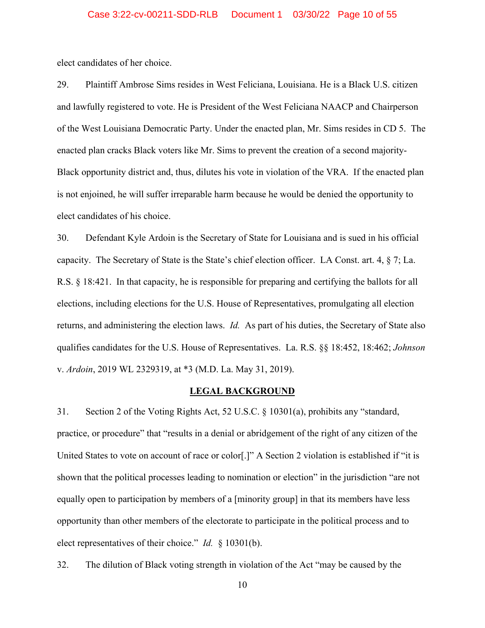elect candidates of her choice.

29. Plaintiff Ambrose Sims resides in West Feliciana, Louisiana. He is a Black U.S. citizen and lawfully registered to vote. He is President of the West Feliciana NAACP and Chairperson of the West Louisiana Democratic Party. Under the enacted plan, Mr. Sims resides in CD 5. The enacted plan cracks Black voters like Mr. Sims to prevent the creation of a second majority-Black opportunity district and, thus, dilutes his vote in violation of the VRA. If the enacted plan is not enjoined, he will suffer irreparable harm because he would be denied the opportunity to elect candidates of his choice.

30. Defendant Kyle Ardoin is the Secretary of State for Louisiana and is sued in his official capacity. The Secretary of State is the State's chief election officer. LA Const. art. 4, § 7; La. R.S. § 18:421. In that capacity, he is responsible for preparing and certifying the ballots for all elections, including elections for the U.S. House of Representatives, promulgating all election returns, and administering the election laws. *Id.* As part of his duties, the Secretary of State also qualifies candidates for the U.S. House of Representatives. La. R.S. §§ 18:452, 18:462; *Johnson*  v. *Ardoin*, 2019 WL 2329319, at \*3 (M.D. La. May 31, 2019).

## **LEGAL BACKGROUND**

31. Section 2 of the Voting Rights Act, 52 U.S.C. § 10301(a), prohibits any "standard, practice, or procedure" that "results in a denial or abridgement of the right of any citizen of the United States to vote on account of race or color[.]" A Section 2 violation is established if "it is shown that the political processes leading to nomination or election" in the jurisdiction "are not equally open to participation by members of a [minority group] in that its members have less opportunity than other members of the electorate to participate in the political process and to elect representatives of their choice." *Id.* § 10301(b).

32. The dilution of Black voting strength in violation of the Act "may be caused by the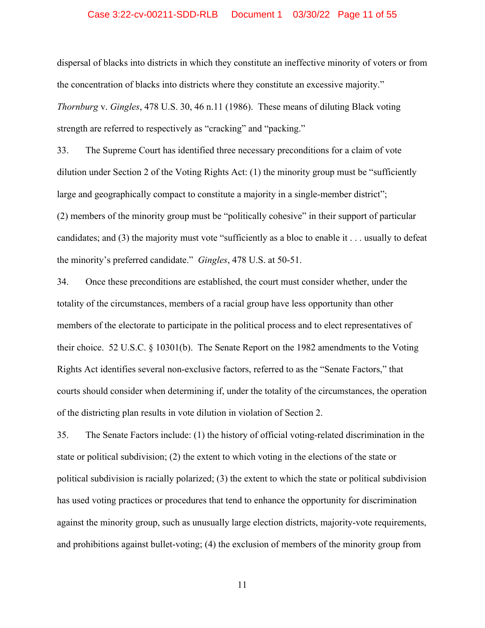## Case 3:22-cv-00211-SDD-RLB Document 1 03/30/22 Page 11 of 55

dispersal of blacks into districts in which they constitute an ineffective minority of voters or from the concentration of blacks into districts where they constitute an excessive majority." *Thornburg* v. *Gingles*, 478 U.S. 30, 46 n.11 (1986). These means of diluting Black voting strength are referred to respectively as "cracking" and "packing."

33. The Supreme Court has identified three necessary preconditions for a claim of vote dilution under Section 2 of the Voting Rights Act: (1) the minority group must be "sufficiently large and geographically compact to constitute a majority in a single-member district"; (2) members of the minority group must be "politically cohesive" in their support of particular candidates; and (3) the majority must vote "sufficiently as a bloc to enable it . . . usually to defeat the minority's preferred candidate." *Gingles*, 478 U.S. at 50-51.

34. Once these preconditions are established, the court must consider whether, under the totality of the circumstances, members of a racial group have less opportunity than other members of the electorate to participate in the political process and to elect representatives of their choice. 52 U.S.C. § 10301(b). The Senate Report on the 1982 amendments to the Voting Rights Act identifies several non-exclusive factors, referred to as the "Senate Factors," that courts should consider when determining if, under the totality of the circumstances, the operation of the districting plan results in vote dilution in violation of Section 2.

35. The Senate Factors include: (1) the history of official voting-related discrimination in the state or political subdivision; (2) the extent to which voting in the elections of the state or political subdivision is racially polarized; (3) the extent to which the state or political subdivision has used voting practices or procedures that tend to enhance the opportunity for discrimination against the minority group, such as unusually large election districts, majority-vote requirements, and prohibitions against bullet-voting; (4) the exclusion of members of the minority group from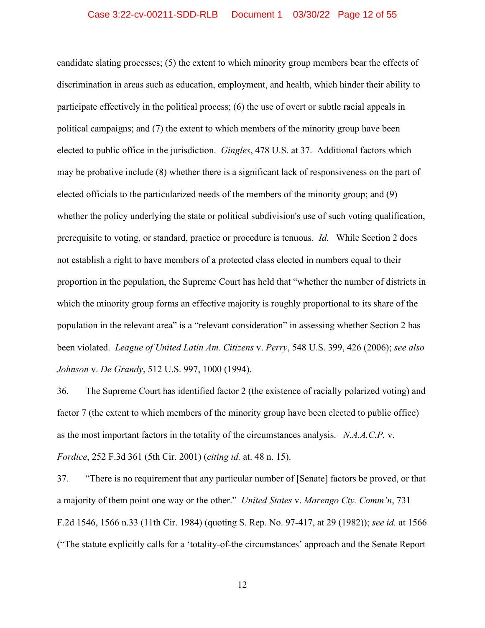candidate slating processes; (5) the extent to which minority group members bear the effects of discrimination in areas such as education, employment, and health, which hinder their ability to participate effectively in the political process; (6) the use of overt or subtle racial appeals in political campaigns; and (7) the extent to which members of the minority group have been elected to public office in the jurisdiction. *Gingles*, 478 U.S. at 37. Additional factors which may be probative include (8) whether there is a significant lack of responsiveness on the part of elected officials to the particularized needs of the members of the minority group; and (9) whether the policy underlying the state or political subdivision's use of such voting qualification, prerequisite to voting, or standard, practice or procedure is tenuous. *Id.* While Section 2 does not establish a right to have members of a protected class elected in numbers equal to their proportion in the population, the Supreme Court has held that "whether the number of districts in which the minority group forms an effective majority is roughly proportional to its share of the population in the relevant area" is a "relevant consideration" in assessing whether Section 2 has been violated. *League of United Latin Am. Citizens* v. *Perry*, 548 U.S. 399, 426 (2006); *see also Johnson* v. *De Grandy*, 512 U.S. 997, 1000 (1994).

36. The Supreme Court has identified factor 2 (the existence of racially polarized voting) and factor 7 (the extent to which members of the minority group have been elected to public office) as the most important factors in the totality of the circumstances analysis. *N.A.A.C.P.* v. *Fordice*, 252 F.3d 361 (5th Cir. 2001) (*citing id.* at. 48 n. 15).

37. "There is no requirement that any particular number of [Senate] factors be proved, or that a majority of them point one way or the other." *United States* v. *Marengo Cty. Comm'n*, 731 F.2d 1546, 1566 n.33 (11th Cir. 1984) (quoting S. Rep. No. 97-417, at 29 (1982)); *see id.* at 1566 ("The statute explicitly calls for a 'totality-of-the circumstances' approach and the Senate Report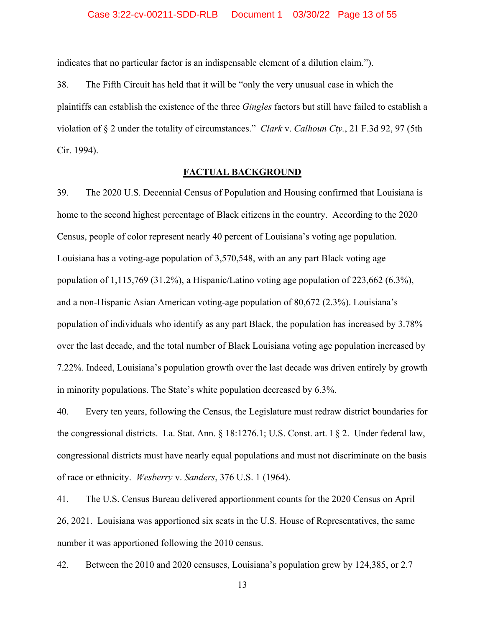indicates that no particular factor is an indispensable element of a dilution claim.").

38. The Fifth Circuit has held that it will be "only the very unusual case in which the plaintiffs can establish the existence of the three *Gingles* factors but still have failed to establish a violation of § 2 under the totality of circumstances." *Clark* v. *Calhoun Cty.*, 21 F.3d 92, 97 (5th Cir. 1994).

## **FACTUAL BACKGROUND**

39. The 2020 U.S. Decennial Census of Population and Housing confirmed that Louisiana is home to the second highest percentage of Black citizens in the country. According to the 2020 Census, people of color represent nearly 40 percent of Louisiana's voting age population. Louisiana has a voting-age population of 3,570,548, with an any part Black voting age population of 1,115,769 (31.2%), a Hispanic/Latino voting age population of 223,662 (6.3%), and a non-Hispanic Asian American voting-age population of 80,672 (2.3%). Louisiana's population of individuals who identify as any part Black, the population has increased by 3.78% over the last decade, and the total number of Black Louisiana voting age population increased by 7.22%. Indeed, Louisiana's population growth over the last decade was driven entirely by growth in minority populations. The State's white population decreased by 6.3%.

40. Every ten years, following the Census, the Legislature must redraw district boundaries for the congressional districts. La. Stat. Ann. § 18:1276.1; U.S. Const. art. I § 2. Under federal law, congressional districts must have nearly equal populations and must not discriminate on the basis of race or ethnicity. *Wesberry* v. *Sanders*, 376 U.S. 1 (1964).

41. The U.S. Census Bureau delivered apportionment counts for the 2020 Census on April 26, 2021. Louisiana was apportioned six seats in the U.S. House of Representatives, the same number it was apportioned following the 2010 census.

42. Between the 2010 and 2020 censuses, Louisiana's population grew by 124,385, or 2.7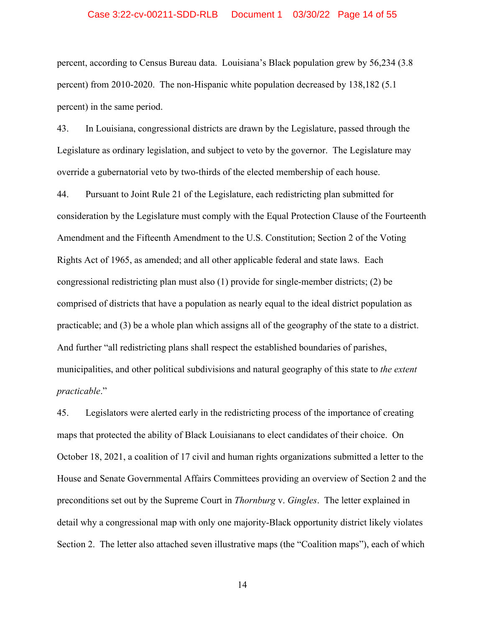## Case 3:22-cv-00211-SDD-RLB Document 1 03/30/22 Page 14 of 55

percent, according to Census Bureau data. Louisiana's Black population grew by 56,234 (3.8 percent) from 2010-2020. The non-Hispanic white population decreased by 138,182 (5.1 percent) in the same period.

43. In Louisiana, congressional districts are drawn by the Legislature, passed through the Legislature as ordinary legislation, and subject to veto by the governor. The Legislature may override a gubernatorial veto by two-thirds of the elected membership of each house.

44. Pursuant to Joint Rule 21 of the Legislature, each redistricting plan submitted for consideration by the Legislature must comply with the Equal Protection Clause of the Fourteenth Amendment and the Fifteenth Amendment to the U.S. Constitution; Section 2 of the Voting Rights Act of 1965, as amended; and all other applicable federal and state laws. Each congressional redistricting plan must also (1) provide for single-member districts; (2) be comprised of districts that have a population as nearly equal to the ideal district population as practicable; and (3) be a whole plan which assigns all of the geography of the state to a district. And further "all redistricting plans shall respect the established boundaries of parishes, municipalities, and other political subdivisions and natural geography of this state to *the extent practicable*."

45. Legislators were alerted early in the redistricting process of the importance of creating maps that protected the ability of Black Louisianans to elect candidates of their choice. On October 18, 2021, a coalition of 17 civil and human rights organizations submitted a letter to the House and Senate Governmental Affairs Committees providing an overview of Section 2 and the preconditions set out by the Supreme Court in *Thornburg* v. *Gingles*. The letter explained in detail why a congressional map with only one majority-Black opportunity district likely violates Section 2. The letter also attached seven illustrative maps (the "Coalition maps"), each of which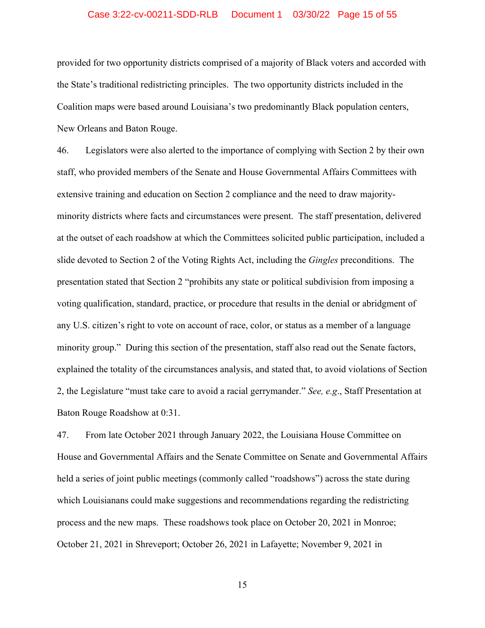## Case 3:22-cv-00211-SDD-RLB Document 1 03/30/22 Page 15 of 55

provided for two opportunity districts comprised of a majority of Black voters and accorded with the State's traditional redistricting principles. The two opportunity districts included in the Coalition maps were based around Louisiana's two predominantly Black population centers, New Orleans and Baton Rouge.

46. Legislators were also alerted to the importance of complying with Section 2 by their own staff, who provided members of the Senate and House Governmental Affairs Committees with extensive training and education on Section 2 compliance and the need to draw majorityminority districts where facts and circumstances were present. The staff presentation, delivered at the outset of each roadshow at which the Committees solicited public participation, included a slide devoted to Section 2 of the Voting Rights Act, including the *Gingles* preconditions. The presentation stated that Section 2 "prohibits any state or political subdivision from imposing a voting qualification, standard, practice, or procedure that results in the denial or abridgment of any U.S. citizen's right to vote on account of race, color, or status as a member of a language minority group." During this section of the presentation, staff also read out the Senate factors, explained the totality of the circumstances analysis, and stated that, to avoid violations of Section 2, the Legislature "must take care to avoid a racial gerrymander." *See, e.g*., Staff Presentation at Baton Rouge Roadshow at 0:31.

47. From late October 2021 through January 2022, the Louisiana House Committee on House and Governmental Affairs and the Senate Committee on Senate and Governmental Affairs held a series of joint public meetings (commonly called "roadshows") across the state during which Louisianans could make suggestions and recommendations regarding the redistricting process and the new maps. These roadshows took place on October 20, 2021 in Monroe; October 21, 2021 in Shreveport; October 26, 2021 in Lafayette; November 9, 2021 in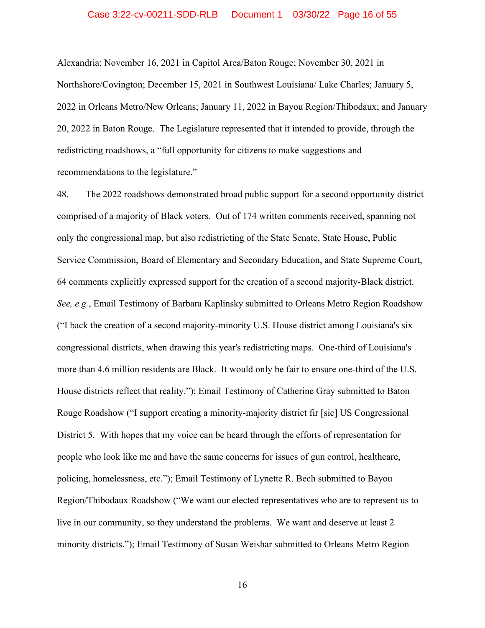## Case 3:22-cv-00211-SDD-RLB Document 1 03/30/22 Page 16 of 55

Alexandria; November 16, 2021 in Capitol Area/Baton Rouge; November 30, 2021 in Northshore/Covington; December 15, 2021 in Southwest Louisiana/ Lake Charles; January 5, 2022 in Orleans Metro/New Orleans; January 11, 2022 in Bayou Region/Thibodaux; and January 20, 2022 in Baton Rouge. The Legislature represented that it intended to provide, through the redistricting roadshows, a "full opportunity for citizens to make suggestions and recommendations to the legislature."

48. The 2022 roadshows demonstrated broad public support for a second opportunity district comprised of a majority of Black voters. Out of 174 written comments received, spanning not only the congressional map, but also redistricting of the State Senate, State House, Public Service Commission, Board of Elementary and Secondary Education, and State Supreme Court, 64 comments explicitly expressed support for the creation of a second majority-Black district. *See, e.g.*, Email Testimony of Barbara Kaplinsky submitted to Orleans Metro Region Roadshow ("I back the creation of a second majority-minority U.S. House district among Louisiana's six congressional districts, when drawing this year's redistricting maps. One-third of Louisiana's more than 4.6 million residents are Black. It would only be fair to ensure one-third of the U.S. House districts reflect that reality."); Email Testimony of Catherine Gray submitted to Baton Rouge Roadshow ("I support creating a minority-majority district fir [sic] US Congressional District 5. With hopes that my voice can be heard through the efforts of representation for people who look like me and have the same concerns for issues of gun control, healthcare, policing, homelessness, etc."); Email Testimony of Lynette R. Bech submitted to Bayou Region/Thibodaux Roadshow ("We want our elected representatives who are to represent us to live in our community, so they understand the problems. We want and deserve at least 2 minority districts."); Email Testimony of Susan Weishar submitted to Orleans Metro Region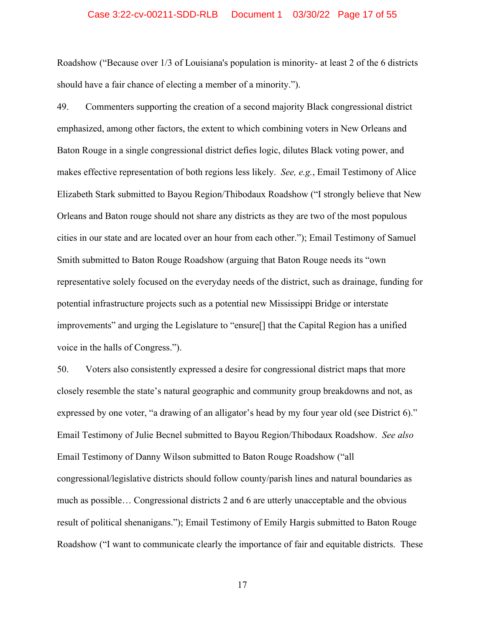## Case 3:22-cv-00211-SDD-RLB Document 1 03/30/22 Page 17 of 55

Roadshow ("Because over 1/3 of Louisiana's population is minority- at least 2 of the 6 districts should have a fair chance of electing a member of a minority.").

49. Commenters supporting the creation of a second majority Black congressional district emphasized, among other factors, the extent to which combining voters in New Orleans and Baton Rouge in a single congressional district defies logic, dilutes Black voting power, and makes effective representation of both regions less likely. *See, e.g.*, Email Testimony of Alice Elizabeth Stark submitted to Bayou Region/Thibodaux Roadshow ("I strongly believe that New Orleans and Baton rouge should not share any districts as they are two of the most populous cities in our state and are located over an hour from each other."); Email Testimony of Samuel Smith submitted to Baton Rouge Roadshow (arguing that Baton Rouge needs its "own representative solely focused on the everyday needs of the district, such as drainage, funding for potential infrastructure projects such as a potential new Mississippi Bridge or interstate improvements" and urging the Legislature to "ensure[] that the Capital Region has a unified voice in the halls of Congress.").

50. Voters also consistently expressed a desire for congressional district maps that more closely resemble the state's natural geographic and community group breakdowns and not, as expressed by one voter, "a drawing of an alligator's head by my four year old (see District 6)." Email Testimony of Julie Becnel submitted to Bayou Region/Thibodaux Roadshow. *See also* Email Testimony of Danny Wilson submitted to Baton Rouge Roadshow ("all congressional/legislative districts should follow county/parish lines and natural boundaries as much as possible… Congressional districts 2 and 6 are utterly unacceptable and the obvious result of political shenanigans."); Email Testimony of Emily Hargis submitted to Baton Rouge Roadshow ("I want to communicate clearly the importance of fair and equitable districts. These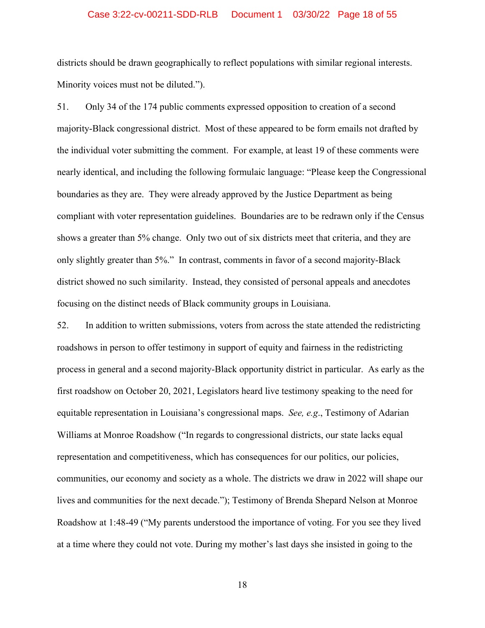## Case 3:22-cv-00211-SDD-RLB Document 1 03/30/22 Page 18 of 55

districts should be drawn geographically to reflect populations with similar regional interests. Minority voices must not be diluted.").

51. Only 34 of the 174 public comments expressed opposition to creation of a second majority-Black congressional district. Most of these appeared to be form emails not drafted by the individual voter submitting the comment. For example, at least 19 of these comments were nearly identical, and including the following formulaic language: "Please keep the Congressional boundaries as they are. They were already approved by the Justice Department as being compliant with voter representation guidelines. Boundaries are to be redrawn only if the Census shows a greater than 5% change. Only two out of six districts meet that criteria, and they are only slightly greater than 5%." In contrast, comments in favor of a second majority-Black district showed no such similarity. Instead, they consisted of personal appeals and anecdotes focusing on the distinct needs of Black community groups in Louisiana.

52. In addition to written submissions, voters from across the state attended the redistricting roadshows in person to offer testimony in support of equity and fairness in the redistricting process in general and a second majority-Black opportunity district in particular. As early as the first roadshow on October 20, 2021, Legislators heard live testimony speaking to the need for equitable representation in Louisiana's congressional maps. *See, e.g*., Testimony of Adarian Williams at Monroe Roadshow ("In regards to congressional districts, our state lacks equal representation and competitiveness, which has consequences for our politics, our policies, communities, our economy and society as a whole. The districts we draw in 2022 will shape our lives and communities for the next decade."); Testimony of Brenda Shepard Nelson at Monroe Roadshow at 1:48-49 ("My parents understood the importance of voting. For you see they lived at a time where they could not vote. During my mother's last days she insisted in going to the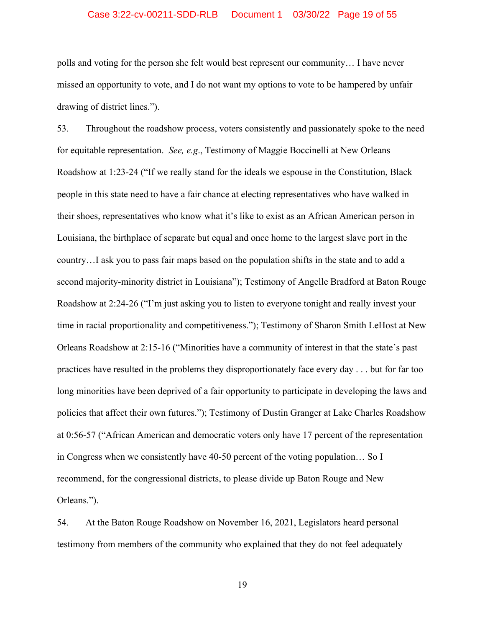## Case 3:22-cv-00211-SDD-RLB Document 1 03/30/22 Page 19 of 55

polls and voting for the person she felt would best represent our community… I have never missed an opportunity to vote, and I do not want my options to vote to be hampered by unfair drawing of district lines.").

53. Throughout the roadshow process, voters consistently and passionately spoke to the need for equitable representation. *See, e.g*., Testimony of Maggie Boccinelli at New Orleans Roadshow at 1:23-24 ("If we really stand for the ideals we espouse in the Constitution, Black people in this state need to have a fair chance at electing representatives who have walked in their shoes, representatives who know what it's like to exist as an African American person in Louisiana, the birthplace of separate but equal and once home to the largest slave port in the country…I ask you to pass fair maps based on the population shifts in the state and to add a second majority-minority district in Louisiana"); Testimony of Angelle Bradford at Baton Rouge Roadshow at 2:24-26 ("I'm just asking you to listen to everyone tonight and really invest your time in racial proportionality and competitiveness."); Testimony of Sharon Smith LeHost at New Orleans Roadshow at 2:15-16 ("Minorities have a community of interest in that the state's past practices have resulted in the problems they disproportionately face every day . . . but for far too long minorities have been deprived of a fair opportunity to participate in developing the laws and policies that affect their own futures."); Testimony of Dustin Granger at Lake Charles Roadshow at 0:56-57 ("African American and democratic voters only have 17 percent of the representation in Congress when we consistently have 40-50 percent of the voting population… So I recommend, for the congressional districts, to please divide up Baton Rouge and New Orleans.").

54. At the Baton Rouge Roadshow on November 16, 2021, Legislators heard personal testimony from members of the community who explained that they do not feel adequately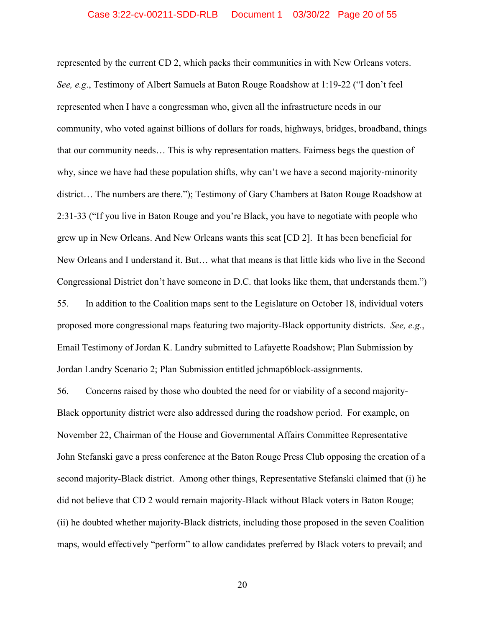represented by the current CD 2, which packs their communities in with New Orleans voters. *See, e.g*., Testimony of Albert Samuels at Baton Rouge Roadshow at 1:19-22 ("I don't feel represented when I have a congressman who, given all the infrastructure needs in our community, who voted against billions of dollars for roads, highways, bridges, broadband, things that our community needs… This is why representation matters. Fairness begs the question of why, since we have had these population shifts, why can't we have a second majority-minority district… The numbers are there."); Testimony of Gary Chambers at Baton Rouge Roadshow at 2:31-33 ("If you live in Baton Rouge and you're Black, you have to negotiate with people who grew up in New Orleans. And New Orleans wants this seat [CD 2]. It has been beneficial for New Orleans and I understand it. But… what that means is that little kids who live in the Second Congressional District don't have someone in D.C. that looks like them, that understands them.") 55. In addition to the Coalition maps sent to the Legislature on October 18, individual voters proposed more congressional maps featuring two majority-Black opportunity districts. *See, e.g.*, Email Testimony of Jordan K. Landry submitted to Lafayette Roadshow; Plan Submission by Jordan Landry Scenario 2; Plan Submission entitled jchmap6block-assignments.

56. Concerns raised by those who doubted the need for or viability of a second majority-Black opportunity district were also addressed during the roadshow period. For example, on November 22, Chairman of the House and Governmental Affairs Committee Representative John Stefanski gave a press conference at the Baton Rouge Press Club opposing the creation of a second majority-Black district. Among other things, Representative Stefanski claimed that (i) he did not believe that CD 2 would remain majority-Black without Black voters in Baton Rouge; (ii) he doubted whether majority-Black districts, including those proposed in the seven Coalition maps, would effectively "perform" to allow candidates preferred by Black voters to prevail; and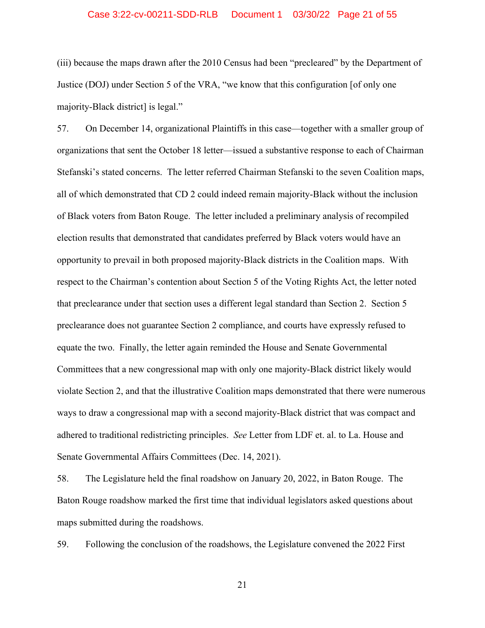## Case 3:22-cv-00211-SDD-RLB Document 1 03/30/22 Page 21 of 55

(iii) because the maps drawn after the 2010 Census had been "precleared" by the Department of Justice (DOJ) under Section 5 of the VRA, "we know that this configuration [of only one majority-Black district] is legal."

57. On December 14, organizational Plaintiffs in this case—together with a smaller group of organizations that sent the October 18 letter—issued a substantive response to each of Chairman Stefanski's stated concerns. The letter referred Chairman Stefanski to the seven Coalition maps, all of which demonstrated that CD 2 could indeed remain majority-Black without the inclusion of Black voters from Baton Rouge. The letter included a preliminary analysis of recompiled election results that demonstrated that candidates preferred by Black voters would have an opportunity to prevail in both proposed majority-Black districts in the Coalition maps. With respect to the Chairman's contention about Section 5 of the Voting Rights Act, the letter noted that preclearance under that section uses a different legal standard than Section 2. Section 5 preclearance does not guarantee Section 2 compliance, and courts have expressly refused to equate the two. Finally, the letter again reminded the House and Senate Governmental Committees that a new congressional map with only one majority-Black district likely would violate Section 2, and that the illustrative Coalition maps demonstrated that there were numerous ways to draw a congressional map with a second majority-Black district that was compact and adhered to traditional redistricting principles. *See* Letter from LDF et. al. to La. House and Senate Governmental Affairs Committees (Dec. 14, 2021).

58. The Legislature held the final roadshow on January 20, 2022, in Baton Rouge. The Baton Rouge roadshow marked the first time that individual legislators asked questions about maps submitted during the roadshows.

59. Following the conclusion of the roadshows, the Legislature convened the 2022 First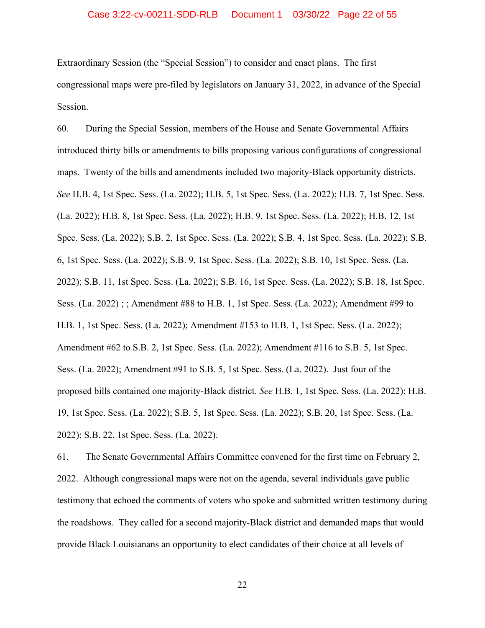## Case 3:22-cv-00211-SDD-RLB Document 1 03/30/22 Page 22 of 55

Extraordinary Session (the "Special Session") to consider and enact plans. The first congressional maps were pre-filed by legislators on January 31, 2022, in advance of the Special Session.

60. During the Special Session, members of the House and Senate Governmental Affairs introduced thirty bills or amendments to bills proposing various configurations of congressional maps. Twenty of the bills and amendments included two majority-Black opportunity districts. *See* H.B. 4, 1st Spec. Sess. (La. 2022); H.B. 5, 1st Spec. Sess. (La. 2022); H.B. 7, 1st Spec. Sess. (La. 2022); H.B. 8, 1st Spec. Sess. (La. 2022); H.B. 9, 1st Spec. Sess. (La. 2022); H.B. 12, 1st Spec. Sess. (La. 2022); S.B. 2, 1st Spec. Sess. (La. 2022); S.B. 4, 1st Spec. Sess. (La. 2022); S.B. 6, 1st Spec. Sess. (La. 2022); S.B. 9, 1st Spec. Sess. (La. 2022); S.B. 10, 1st Spec. Sess. (La. 2022); S.B. 11, 1st Spec. Sess. (La. 2022); S.B. 16, 1st Spec. Sess. (La. 2022); S.B. 18, 1st Spec. Sess. (La. 2022) ; ; Amendment #88 to H.B. 1, 1st Spec. Sess. (La. 2022); Amendment #99 to H.B. 1, 1st Spec. Sess. (La. 2022); Amendment #153 to H.B. 1, 1st Spec. Sess. (La. 2022); Amendment #62 to S.B. 2, 1st Spec. Sess. (La. 2022); Amendment #116 to S.B. 5, 1st Spec. Sess. (La. 2022); Amendment #91 to S.B. 5, 1st Spec. Sess. (La. 2022). Just four of the proposed bills contained one majority-Black district. *See* H.B. 1, 1st Spec. Sess. (La. 2022); H.B. 19, 1st Spec. Sess. (La. 2022); S.B. 5, 1st Spec. Sess. (La. 2022); S.B. 20, 1st Spec. Sess. (La. 2022); S.B. 22, 1st Spec. Sess. (La. 2022).

61. The Senate Governmental Affairs Committee convened for the first time on February 2, 2022. Although congressional maps were not on the agenda, several individuals gave public testimony that echoed the comments of voters who spoke and submitted written testimony during the roadshows. They called for a second majority-Black district and demanded maps that would provide Black Louisianans an opportunity to elect candidates of their choice at all levels of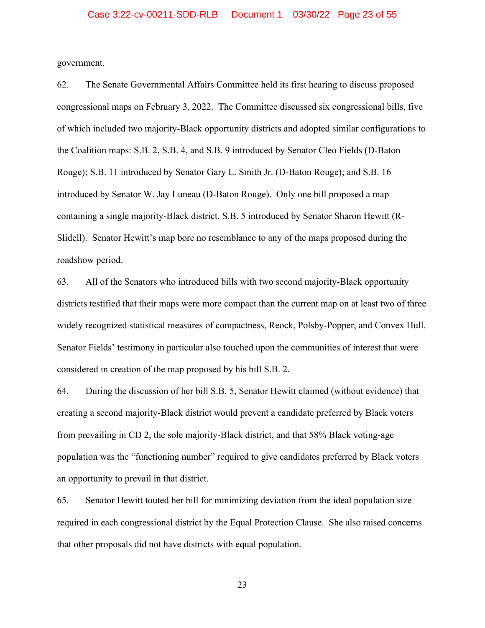government.

62. The Senate Governmental Affairs Committee held its first hearing to discuss proposed congressional maps on February 3, 2022. The Committee discussed six congressional bills, five of which included two majority-Black opportunity districts and adopted similar configurations to the Coalition maps: S.B. 2, S.B. 4, and S.B. 9 introduced by Senator Cleo Fields (D-Baton Rouge); S.B. 11 introduced by Senator Gary L. Smith Jr. (D-Baton Rouge); and S.B. 16 introduced by Senator W. Jay Luneau (D-Baton Rouge). Only one bill proposed a map containing a single majority-Black district, S.B. 5 introduced by Senator Sharon Hewitt (R-Slidell). Senator Hewitt's map bore no resemblance to any of the maps proposed during the roadshow period.

63. All of the Senators who introduced bills with two second majority-Black opportunity districts testified that their maps were more compact than the current map on at least two of three widely recognized statistical measures of compactness, Reock, Polsby-Popper, and Convex Hull. Senator Fields' testimony in particular also touched upon the communities of interest that were considered in creation of the map proposed by his bill S.B. 2.

64. During the discussion of her bill S.B. 5, Senator Hewitt claimed (without evidence) that creating a second majority-Black district would prevent a candidate preferred by Black voters from prevailing in CD 2, the sole majority-Black district, and that 58% Black voting-age population was the "functioning number" required to give candidates preferred by Black voters an opportunity to prevail in that district.

65. Senator Hewitt touted her bill for minimizing deviation from the ideal population size required in each congressional district by the Equal Protection Clause. She also raised concerns that other proposals did not have districts with equal population.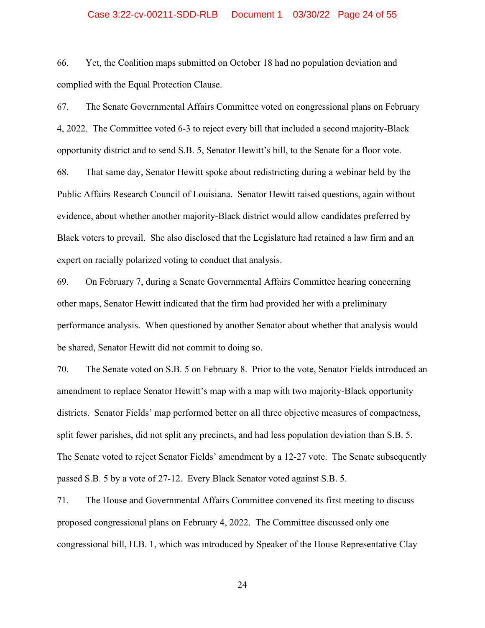## Case 3:22-cv-00211-SDD-RLB Document 1 03/30/22 Page 24 of 55

66. Yet, the Coalition maps submitted on October 18 had no population deviation and complied with the Equal Protection Clause.

67. The Senate Governmental Affairs Committee voted on congressional plans on February 4, 2022. The Committee voted 6-3 to reject every bill that included a second majority-Black opportunity district and to send S.B. 5, Senator Hewitt's bill, to the Senate for a floor vote.

68. That same day, Senator Hewitt spoke about redistricting during a webinar held by the Public Affairs Research Council of Louisiana. Senator Hewitt raised questions, again without evidence, about whether another majority-Black district would allow candidates preferred by Black voters to prevail. She also disclosed that the Legislature had retained a law firm and an expert on racially polarized voting to conduct that analysis.

69. On February 7, during a Senate Governmental Affairs Committee hearing concerning other maps, Senator Hewitt indicated that the firm had provided her with a preliminary performance analysis. When questioned by another Senator about whether that analysis would be shared, Senator Hewitt did not commit to doing so.

70. The Senate voted on S.B. 5 on February 8. Prior to the vote, Senator Fields introduced an amendment to replace Senator Hewitt's map with a map with two majority-Black opportunity districts. Senator Fields' map performed better on all three objective measures of compactness, split fewer parishes, did not split any precincts, and had less population deviation than S.B. 5. The Senate voted to reject Senator Fields' amendment by a 12-27 vote. The Senate subsequently passed S.B. 5 by a vote of 27-12. Every Black Senator voted against S.B. 5.

71. The House and Governmental Affairs Committee convened its first meeting to discuss proposed congressional plans on February 4, 2022. The Committee discussed only one congressional bill, H.B. 1, which was introduced by Speaker of the House Representative Clay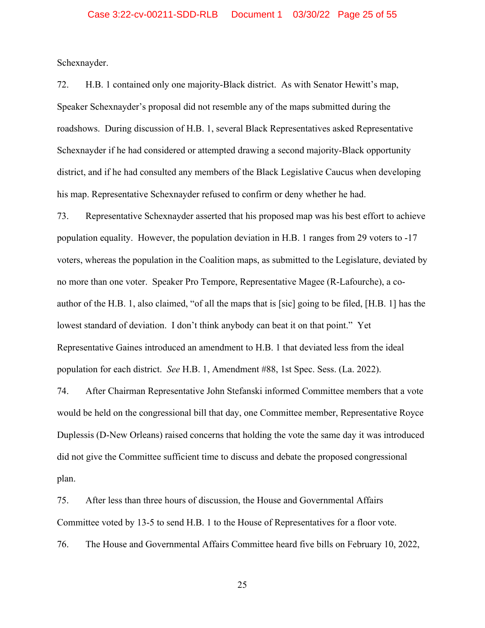Schexnayder.

72. H.B. 1 contained only one majority-Black district. As with Senator Hewitt's map, Speaker Schexnayder's proposal did not resemble any of the maps submitted during the roadshows. During discussion of H.B. 1, several Black Representatives asked Representative Schexnayder if he had considered or attempted drawing a second majority-Black opportunity district, and if he had consulted any members of the Black Legislative Caucus when developing his map. Representative Schexnayder refused to confirm or deny whether he had.

73. Representative Schexnayder asserted that his proposed map was his best effort to achieve population equality. However, the population deviation in H.B. 1 ranges from 29 voters to -17 voters, whereas the population in the Coalition maps, as submitted to the Legislature, deviated by no more than one voter. Speaker Pro Tempore, Representative Magee (R-Lafourche), a coauthor of the H.B. 1, also claimed, "of all the maps that is [sic] going to be filed, [H.B. 1] has the lowest standard of deviation. I don't think anybody can beat it on that point." Yet Representative Gaines introduced an amendment to H.B. 1 that deviated less from the ideal population for each district. *See* H.B. 1, Amendment #88, 1st Spec. Sess. (La. 2022).

74. After Chairman Representative John Stefanski informed Committee members that a vote would be held on the congressional bill that day, one Committee member, Representative Royce Duplessis (D-New Orleans) raised concerns that holding the vote the same day it was introduced did not give the Committee sufficient time to discuss and debate the proposed congressional plan.

75. After less than three hours of discussion, the House and Governmental Affairs Committee voted by 13-5 to send H.B. 1 to the House of Representatives for a floor vote.

76. The House and Governmental Affairs Committee heard five bills on February 10, 2022,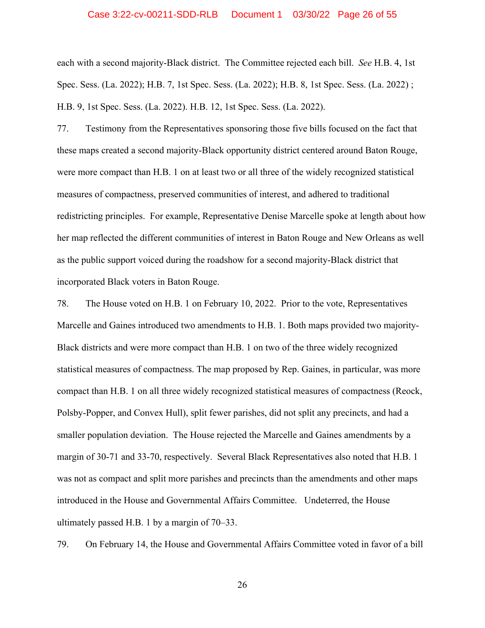## Case 3:22-cv-00211-SDD-RLB Document 1 03/30/22 Page 26 of 55

each with a second majority-Black district. The Committee rejected each bill. *See* H.B. 4, 1st Spec. Sess. (La. 2022); H.B. 7, 1st Spec. Sess. (La. 2022); H.B. 8, 1st Spec. Sess. (La. 2022) ; H.B. 9, 1st Spec. Sess. (La. 2022). H.B. 12, 1st Spec. Sess. (La. 2022).

77. Testimony from the Representatives sponsoring those five bills focused on the fact that these maps created a second majority-Black opportunity district centered around Baton Rouge, were more compact than H.B. 1 on at least two or all three of the widely recognized statistical measures of compactness, preserved communities of interest, and adhered to traditional redistricting principles. For example, Representative Denise Marcelle spoke at length about how her map reflected the different communities of interest in Baton Rouge and New Orleans as well as the public support voiced during the roadshow for a second majority-Black district that incorporated Black voters in Baton Rouge.

78. The House voted on H.B. 1 on February 10, 2022. Prior to the vote, Representatives Marcelle and Gaines introduced two amendments to H.B. 1. Both maps provided two majority-Black districts and were more compact than H.B. 1 on two of the three widely recognized statistical measures of compactness. The map proposed by Rep. Gaines, in particular, was more compact than H.B. 1 on all three widely recognized statistical measures of compactness (Reock, Polsby-Popper, and Convex Hull), split fewer parishes, did not split any precincts, and had a smaller population deviation. The House rejected the Marcelle and Gaines amendments by a margin of 30-71 and 33-70, respectively. Several Black Representatives also noted that H.B. 1 was not as compact and split more parishes and precincts than the amendments and other maps introduced in the House and Governmental Affairs Committee. Undeterred, the House ultimately passed H.B. 1 by a margin of 70–33.

79. On February 14, the House and Governmental Affairs Committee voted in favor of a bill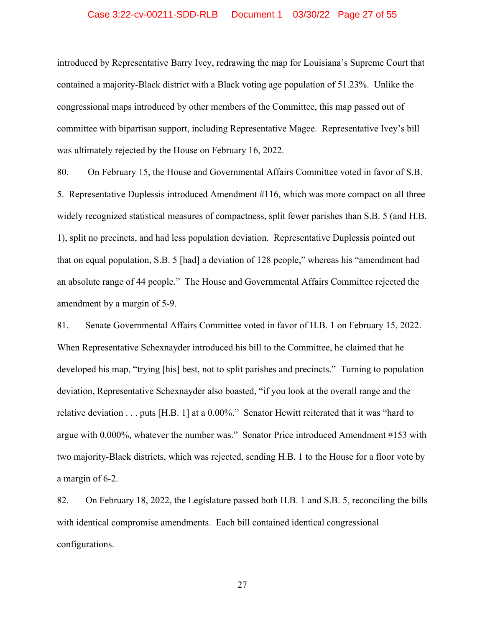## Case 3:22-cv-00211-SDD-RLB Document 1 03/30/22 Page 27 of 55

introduced by Representative Barry Ivey, redrawing the map for Louisiana's Supreme Court that contained a majority-Black district with a Black voting age population of 51.23%. Unlike the congressional maps introduced by other members of the Committee, this map passed out of committee with bipartisan support, including Representative Magee. Representative Ivey's bill was ultimately rejected by the House on February 16, 2022.

80. On February 15, the House and Governmental Affairs Committee voted in favor of S.B. 5. Representative Duplessis introduced Amendment #116, which was more compact on all three widely recognized statistical measures of compactness, split fewer parishes than S.B. 5 (and H.B. 1), split no precincts, and had less population deviation. Representative Duplessis pointed out that on equal population, S.B. 5 [had] a deviation of 128 people," whereas his "amendment had an absolute range of 44 people." The House and Governmental Affairs Committee rejected the amendment by a margin of 5-9.

81. Senate Governmental Affairs Committee voted in favor of H.B. 1 on February 15, 2022. When Representative Schexnayder introduced his bill to the Committee, he claimed that he developed his map, "trying [his] best, not to split parishes and precincts." Turning to population deviation, Representative Schexnayder also boasted, "if you look at the overall range and the relative deviation . . . puts [H.B. 1] at a 0.00%." Senator Hewitt reiterated that it was "hard to argue with 0.000%, whatever the number was." Senator Price introduced Amendment #153 with two majority-Black districts, which was rejected, sending H.B. 1 to the House for a floor vote by a margin of 6-2.

82. On February 18, 2022, the Legislature passed both H.B. 1 and S.B. 5, reconciling the bills with identical compromise amendments. Each bill contained identical congressional configurations.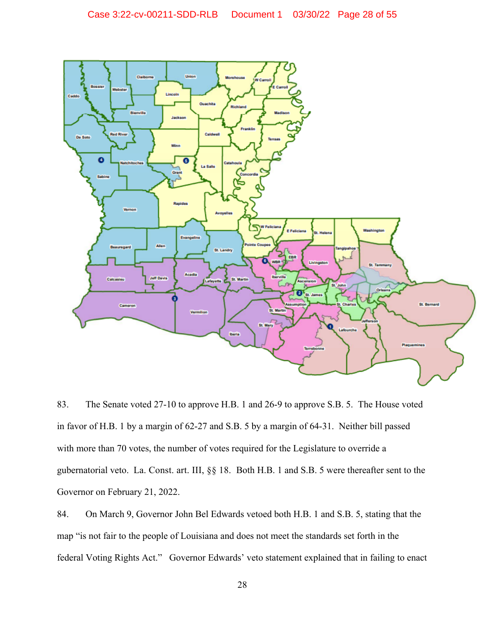

83. The Senate voted 27-10 to approve H.B. 1 and 26-9 to approve S.B. 5. The House voted in favor of H.B. 1 by a margin of 62-27 and S.B. 5 by a margin of 64-31. Neither bill passed with more than 70 votes, the number of votes required for the Legislature to override a gubernatorial veto. La. Const. art. III, §§ 18. Both H.B. 1 and S.B. 5 were thereafter sent to the Governor on February 21, 2022.

84. On March 9, Governor John Bel Edwards vetoed both H.B. 1 and S.B. 5, stating that the map "is not fair to the people of Louisiana and does not meet the standards set forth in the federal Voting Rights Act." Governor Edwards' veto statement explained that in failing to enact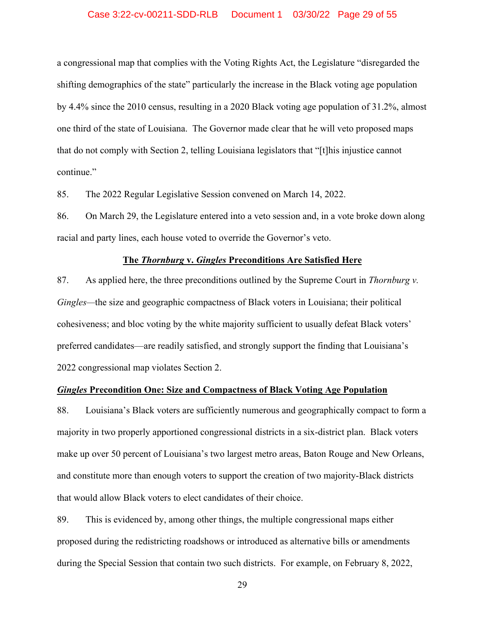## Case 3:22-cv-00211-SDD-RLB Document 1 03/30/22 Page 29 of 55

a congressional map that complies with the Voting Rights Act, the Legislature "disregarded the shifting demographics of the state" particularly the increase in the Black voting age population by 4.4% since the 2010 census, resulting in a 2020 Black voting age population of 31.2%, almost one third of the state of Louisiana. The Governor made clear that he will veto proposed maps that do not comply with Section 2, telling Louisiana legislators that "[t]his injustice cannot continue."

85. The 2022 Regular Legislative Session convened on March 14, 2022.

86. On March 29, the Legislature entered into a veto session and, in a vote broke down along racial and party lines, each house voted to override the Governor's veto.

## **The** *Thornburg* **v.** *Gingles* **Preconditions Are Satisfied Here**

87. As applied here, the three preconditions outlined by the Supreme Court in *Thornburg v. Gingles—*the size and geographic compactness of Black voters in Louisiana; their political cohesiveness; and bloc voting by the white majority sufficient to usually defeat Black voters' preferred candidates—are readily satisfied, and strongly support the finding that Louisiana's 2022 congressional map violates Section 2.

## *Gingles* **Precondition One: Size and Compactness of Black Voting Age Population**

88. Louisiana's Black voters are sufficiently numerous and geographically compact to form a majority in two properly apportioned congressional districts in a six-district plan. Black voters make up over 50 percent of Louisiana's two largest metro areas, Baton Rouge and New Orleans, and constitute more than enough voters to support the creation of two majority-Black districts that would allow Black voters to elect candidates of their choice.

89. This is evidenced by, among other things, the multiple congressional maps either proposed during the redistricting roadshows or introduced as alternative bills or amendments during the Special Session that contain two such districts. For example, on February 8, 2022,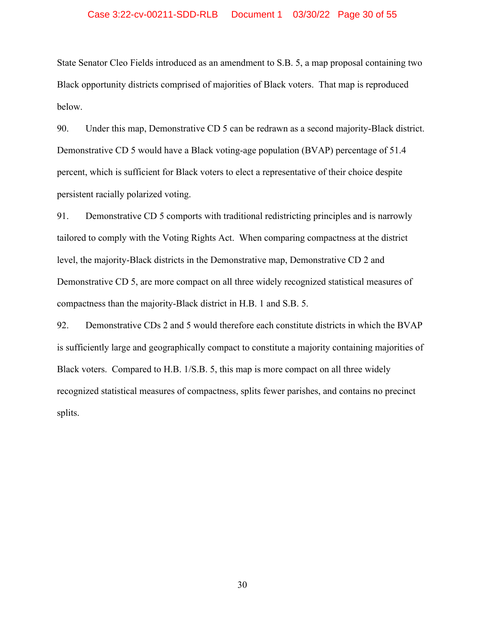## Case 3:22-cv-00211-SDD-RLB Document 1 03/30/22 Page 30 of 55

State Senator Cleo Fields introduced as an amendment to S.B. 5, a map proposal containing two Black opportunity districts comprised of majorities of Black voters. That map is reproduced below.

90. Under this map, Demonstrative CD 5 can be redrawn as a second majority-Black district. Demonstrative CD 5 would have a Black voting-age population (BVAP) percentage of 51.4 percent, which is sufficient for Black voters to elect a representative of their choice despite persistent racially polarized voting.

91. Demonstrative CD 5 comports with traditional redistricting principles and is narrowly tailored to comply with the Voting Rights Act. When comparing compactness at the district level, the majority-Black districts in the Demonstrative map, Demonstrative CD 2 and Demonstrative CD 5, are more compact on all three widely recognized statistical measures of compactness than the majority-Black district in H.B. 1 and S.B. 5.

92. Demonstrative CDs 2 and 5 would therefore each constitute districts in which the BVAP is sufficiently large and geographically compact to constitute a majority containing majorities of Black voters. Compared to H.B. 1/S.B. 5, this map is more compact on all three widely recognized statistical measures of compactness, splits fewer parishes, and contains no precinct splits.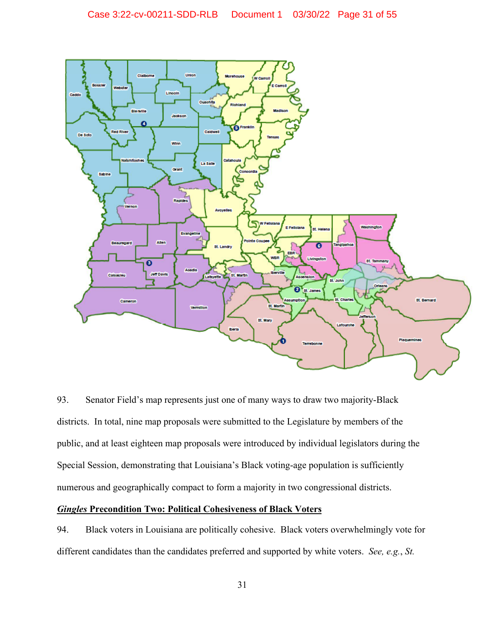

93. Senator Field's map represents just one of many ways to draw two majority-Black districts. In total, nine map proposals were submitted to the Legislature by members of the public, and at least eighteen map proposals were introduced by individual legislators during the Special Session, demonstrating that Louisiana's Black voting-age population is sufficiently numerous and geographically compact to form a majority in two congressional districts.

## *Gingles* **Precondition Two: Political Cohesiveness of Black Voters**

94. Black voters in Louisiana are politically cohesive. Black voters overwhelmingly vote for different candidates than the candidates preferred and supported by white voters. *See, e.g.*, *St.*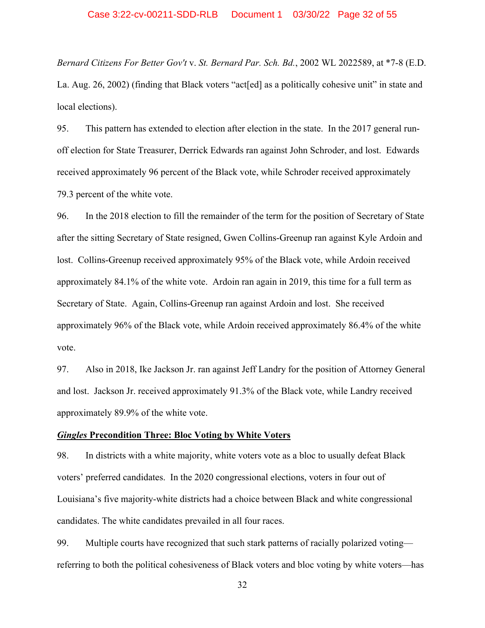*Bernard Citizens For Better Gov't* v. *St. Bernard Par. Sch. Bd.*, 2002 WL 2022589, at \*7-8 (E.D. La. Aug. 26, 2002) (finding that Black voters "act[ed] as a politically cohesive unit" in state and local elections).

95. This pattern has extended to election after election in the state. In the 2017 general runoff election for State Treasurer, Derrick Edwards ran against John Schroder, and lost. Edwards received approximately 96 percent of the Black vote, while Schroder received approximately 79.3 percent of the white vote.

96. In the 2018 election to fill the remainder of the term for the position of Secretary of State after the sitting Secretary of State resigned, Gwen Collins-Greenup ran against Kyle Ardoin and lost. Collins-Greenup received approximately 95% of the Black vote, while Ardoin received approximately 84.1% of the white vote. Ardoin ran again in 2019, this time for a full term as Secretary of State. Again, Collins-Greenup ran against Ardoin and lost. She received approximately 96% of the Black vote, while Ardoin received approximately 86.4% of the white vote.

97. Also in 2018, Ike Jackson Jr. ran against Jeff Landry for the position of Attorney General and lost. Jackson Jr. received approximately 91.3% of the Black vote, while Landry received approximately 89.9% of the white vote.

## *Gingles* **Precondition Three: Bloc Voting by White Voters**

98. In districts with a white majority, white voters vote as a bloc to usually defeat Black voters' preferred candidates. In the 2020 congressional elections, voters in four out of Louisiana's five majority-white districts had a choice between Black and white congressional candidates. The white candidates prevailed in all four races.

99. Multiple courts have recognized that such stark patterns of racially polarized voting referring to both the political cohesiveness of Black voters and bloc voting by white voters—has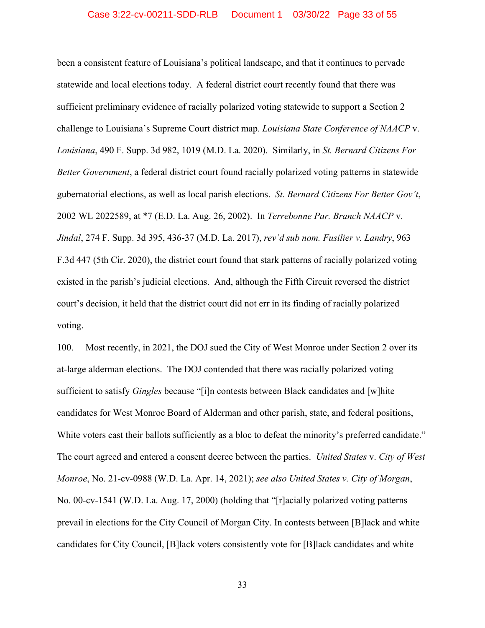been a consistent feature of Louisiana's political landscape, and that it continues to pervade statewide and local elections today. A federal district court recently found that there was sufficient preliminary evidence of racially polarized voting statewide to support a Section 2 challenge to Louisiana's Supreme Court district map. *Louisiana State Conference of NAACP* v. *Louisiana*, 490 F. Supp. 3d 982, 1019 (M.D. La. 2020). Similarly, in *St. Bernard Citizens For Better Government*, a federal district court found racially polarized voting patterns in statewide gubernatorial elections, as well as local parish elections. *St. Bernard Citizens For Better Gov't*, 2002 WL 2022589, at \*7 (E.D. La. Aug. 26, 2002). In *Terrebonne Par. Branch NAACP* v. *Jindal*, 274 F. Supp. 3d 395, 436-37 (M.D. La. 2017), *rev'd sub nom. Fusilier v. Landry*, 963 F.3d 447 (5th Cir. 2020), the district court found that stark patterns of racially polarized voting existed in the parish's judicial elections. And, although the Fifth Circuit reversed the district court's decision, it held that the district court did not err in its finding of racially polarized voting.

100. Most recently, in 2021, the DOJ sued the City of West Monroe under Section 2 over its at-large alderman elections. The DOJ contended that there was racially polarized voting sufficient to satisfy *Gingles* because "[i]n contests between Black candidates and [w]hite candidates for West Monroe Board of Alderman and other parish, state, and federal positions, White voters cast their ballots sufficiently as a bloc to defeat the minority's preferred candidate." The court agreed and entered a consent decree between the parties. *United States* v. *City of West Monroe*, No. 21-cv-0988 (W.D. La. Apr. 14, 2021); *see also United States v. City of Morgan*, No. 00-cv-1541 (W.D. La. Aug. 17, 2000) (holding that "[r]acially polarized voting patterns prevail in elections for the City Council of Morgan City. In contests between [B]lack and white candidates for City Council, [B]lack voters consistently vote for [B]lack candidates and white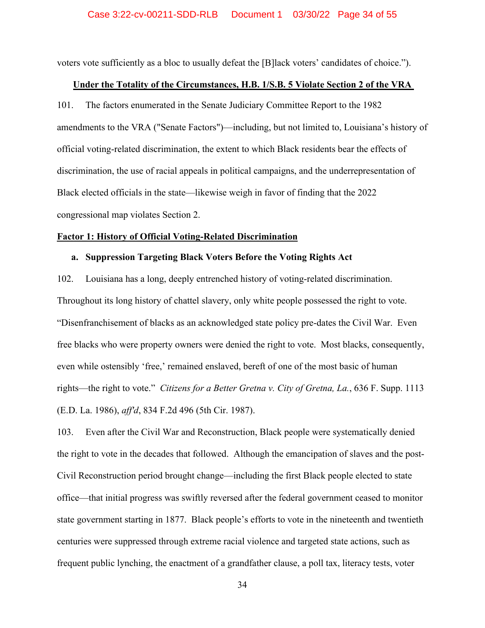voters vote sufficiently as a bloc to usually defeat the [B]lack voters' candidates of choice.").

## **Under the Totality of the Circumstances, H.B. 1/S.B. 5 Violate Section 2 of the VRA**

101. The factors enumerated in the Senate Judiciary Committee Report to the 1982 amendments to the VRA ("Senate Factors")—including, but not limited to, Louisiana's history of official voting-related discrimination, the extent to which Black residents bear the effects of discrimination, the use of racial appeals in political campaigns, and the underrepresentation of Black elected officials in the state—likewise weigh in favor of finding that the 2022 congressional map violates Section 2.

#### **Factor 1: History of Official Voting-Related Discrimination**

## **a. Suppression Targeting Black Voters Before the Voting Rights Act**

102. Louisiana has a long, deeply entrenched history of voting-related discrimination. Throughout its long history of chattel slavery, only white people possessed the right to vote. "Disenfranchisement of blacks as an acknowledged state policy pre-dates the Civil War. Even free blacks who were property owners were denied the right to vote. Most blacks, consequently, even while ostensibly 'free,' remained enslaved, bereft of one of the most basic of human rights—the right to vote." *Citizens for a Better Gretna v. City of Gretna, La.*, 636 F. Supp. 1113 (E.D. La. 1986), *aff'd*, 834 F.2d 496 (5th Cir. 1987).

103. Even after the Civil War and Reconstruction, Black people were systematically denied the right to vote in the decades that followed. Although the emancipation of slaves and the post-Civil Reconstruction period brought change—including the first Black people elected to state office—that initial progress was swiftly reversed after the federal government ceased to monitor state government starting in 1877. Black people's efforts to vote in the nineteenth and twentieth centuries were suppressed through extreme racial violence and targeted state actions, such as frequent public lynching, the enactment of a grandfather clause, a poll tax, literacy tests, voter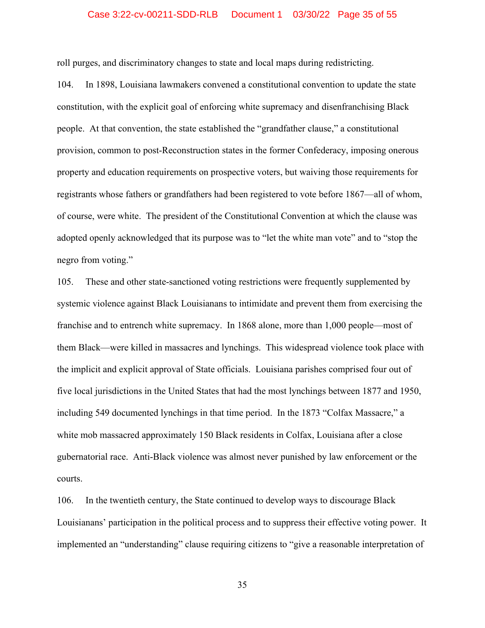## Case 3:22-cv-00211-SDD-RLB Document 1 03/30/22 Page 35 of 55

roll purges, and discriminatory changes to state and local maps during redistricting.

104. In 1898, Louisiana lawmakers convened a constitutional convention to update the state constitution, with the explicit goal of enforcing white supremacy and disenfranchising Black people. At that convention, the state established the "grandfather clause," a constitutional provision, common to post-Reconstruction states in the former Confederacy, imposing onerous property and education requirements on prospective voters, but waiving those requirements for registrants whose fathers or grandfathers had been registered to vote before 1867—all of whom, of course, were white. The president of the Constitutional Convention at which the clause was adopted openly acknowledged that its purpose was to "let the white man vote" and to "stop the negro from voting."

105. These and other state-sanctioned voting restrictions were frequently supplemented by systemic violence against Black Louisianans to intimidate and prevent them from exercising the franchise and to entrench white supremacy. In 1868 alone, more than 1,000 people—most of them Black—were killed in massacres and lynchings. This widespread violence took place with the implicit and explicit approval of State officials. Louisiana parishes comprised four out of five local jurisdictions in the United States that had the most lynchings between 1877 and 1950, including 549 documented lynchings in that time period. In the 1873 "Colfax Massacre," a white mob massacred approximately 150 Black residents in Colfax, Louisiana after a close gubernatorial race. Anti-Black violence was almost never punished by law enforcement or the courts.

106. In the twentieth century, the State continued to develop ways to discourage Black Louisianans' participation in the political process and to suppress their effective voting power. It implemented an "understanding" clause requiring citizens to "give a reasonable interpretation of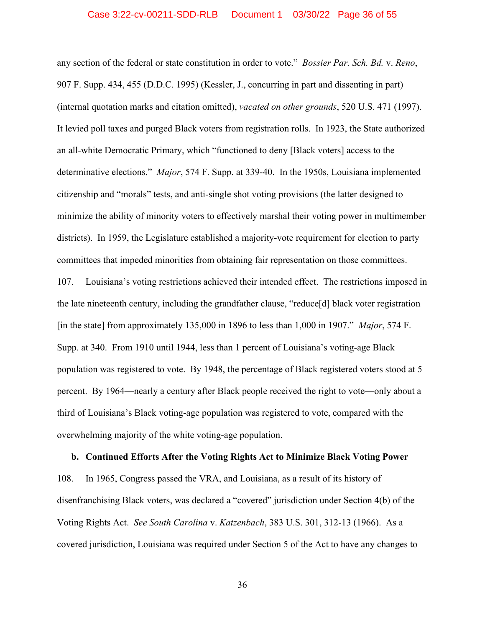any section of the federal or state constitution in order to vote." *Bossier Par. Sch. Bd.* v. *Reno*, 907 F. Supp. 434, 455 (D.D.C. 1995) (Kessler, J., concurring in part and dissenting in part) (internal quotation marks and citation omitted), *vacated on other grounds*, 520 U.S. 471 (1997). It levied poll taxes and purged Black voters from registration rolls. In 1923, the State authorized an all-white Democratic Primary, which "functioned to deny [Black voters] access to the determinative elections." *Major*, 574 F. Supp. at 339-40. In the 1950s, Louisiana implemented citizenship and "morals" tests, and anti-single shot voting provisions (the latter designed to minimize the ability of minority voters to effectively marshal their voting power in multimember districts). In 1959, the Legislature established a majority-vote requirement for election to party committees that impeded minorities from obtaining fair representation on those committees. 107. Louisiana's voting restrictions achieved their intended effect. The restrictions imposed in the late nineteenth century, including the grandfather clause, "reduce[d] black voter registration [in the state] from approximately 135,000 in 1896 to less than 1,000 in 1907." *Major*, 574 F. Supp. at 340. From 1910 until 1944, less than 1 percent of Louisiana's voting-age Black population was registered to vote. By 1948, the percentage of Black registered voters stood at 5 percent. By 1964—nearly a century after Black people received the right to vote—only about a third of Louisiana's Black voting-age population was registered to vote, compared with the overwhelming majority of the white voting-age population.

**b. Continued Efforts After the Voting Rights Act to Minimize Black Voting Power** 108. In 1965, Congress passed the VRA, and Louisiana, as a result of its history of disenfranchising Black voters, was declared a "covered" jurisdiction under Section 4(b) of the Voting Rights Act. *See South Carolina* v. *Katzenbach*, 383 U.S. 301, 312-13 (1966). As a covered jurisdiction, Louisiana was required under Section 5 of the Act to have any changes to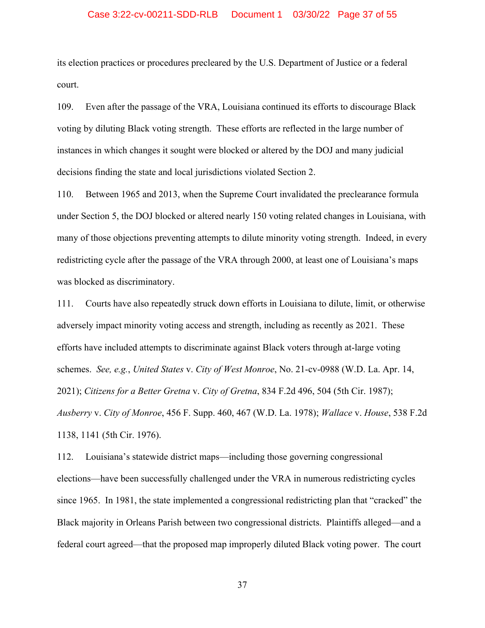## Case 3:22-cv-00211-SDD-RLB Document 1 03/30/22 Page 37 of 55

its election practices or procedures precleared by the U.S. Department of Justice or a federal court.

109. Even after the passage of the VRA, Louisiana continued its efforts to discourage Black voting by diluting Black voting strength. These efforts are reflected in the large number of instances in which changes it sought were blocked or altered by the DOJ and many judicial decisions finding the state and local jurisdictions violated Section 2.

110. Between 1965 and 2013, when the Supreme Court invalidated the preclearance formula under Section 5, the DOJ blocked or altered nearly 150 voting related changes in Louisiana, with many of those objections preventing attempts to dilute minority voting strength. Indeed, in every redistricting cycle after the passage of the VRA through 2000, at least one of Louisiana's maps was blocked as discriminatory.

111. Courts have also repeatedly struck down efforts in Louisiana to dilute, limit, or otherwise adversely impact minority voting access and strength, including as recently as 2021. These efforts have included attempts to discriminate against Black voters through at-large voting schemes. *See, e.g.*, *United States* v. *City of West Monroe*, No. 21-cv-0988 (W.D. La. Apr. 14, 2021); *Citizens for a Better Gretna* v. *City of Gretna*, 834 F.2d 496, 504 (5th Cir. 1987); *Ausberry* v. *City of Monroe*, 456 F. Supp. 460, 467 (W.D. La. 1978); *Wallace* v. *House*, 538 F.2d 1138, 1141 (5th Cir. 1976).

112. Louisiana's statewide district maps—including those governing congressional elections—have been successfully challenged under the VRA in numerous redistricting cycles since 1965. In 1981, the state implemented a congressional redistricting plan that "cracked" the Black majority in Orleans Parish between two congressional districts. Plaintiffs alleged—and a federal court agreed—that the proposed map improperly diluted Black voting power. The court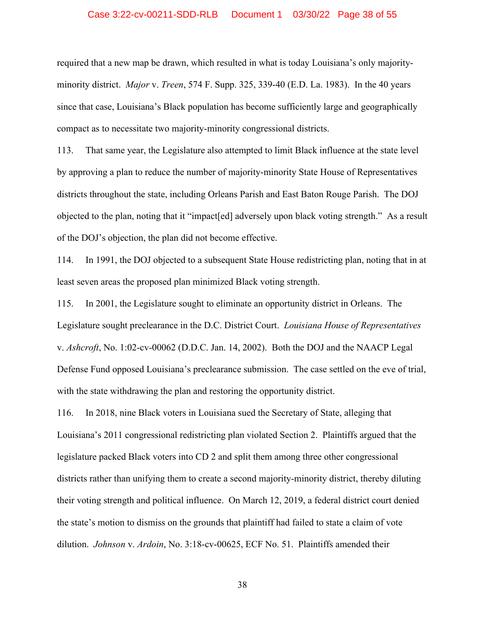## Case 3:22-cv-00211-SDD-RLB Document 1 03/30/22 Page 38 of 55

required that a new map be drawn, which resulted in what is today Louisiana's only majorityminority district. *Major* v. *Treen*, 574 F. Supp. 325, 339-40 (E.D. La. 1983). In the 40 years since that case, Louisiana's Black population has become sufficiently large and geographically compact as to necessitate two majority-minority congressional districts.

113. That same year, the Legislature also attempted to limit Black influence at the state level by approving a plan to reduce the number of majority-minority State House of Representatives districts throughout the state, including Orleans Parish and East Baton Rouge Parish. The DOJ objected to the plan, noting that it "impact[ed] adversely upon black voting strength." As a result of the DOJ's objection, the plan did not become effective.

114. In 1991, the DOJ objected to a subsequent State House redistricting plan, noting that in at least seven areas the proposed plan minimized Black voting strength.

115. In 2001, the Legislature sought to eliminate an opportunity district in Orleans. The Legislature sought preclearance in the D.C. District Court. *Louisiana House of Representatives* v. *Ashcroft*, No. 1:02-cv-00062 (D.D.C. Jan. 14, 2002). Both the DOJ and the NAACP Legal Defense Fund opposed Louisiana's preclearance submission. The case settled on the eve of trial, with the state withdrawing the plan and restoring the opportunity district.

116. In 2018, nine Black voters in Louisiana sued the Secretary of State, alleging that Louisiana's 2011 congressional redistricting plan violated Section 2. Plaintiffs argued that the legislature packed Black voters into CD 2 and split them among three other congressional districts rather than unifying them to create a second majority-minority district, thereby diluting their voting strength and political influence. On March 12, 2019, a federal district court denied the state's motion to dismiss on the grounds that plaintiff had failed to state a claim of vote dilution. *Johnson* v. *Ardoin*, No. 3:18-cv-00625, ECF No. 51. Plaintiffs amended their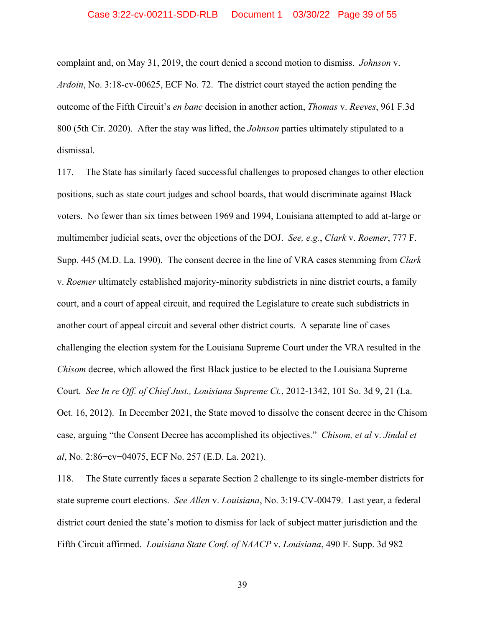## Case 3:22-cv-00211-SDD-RLB Document 1 03/30/22 Page 39 of 55

complaint and, on May 31, 2019, the court denied a second motion to dismiss. *Johnson* v. *Ardoin*, No. 3:18-cv-00625, ECF No. 72. The district court stayed the action pending the outcome of the Fifth Circuit's *en banc* decision in another action, *Thomas* v. *Reeves*, 961 F.3d 800 (5th Cir. 2020). After the stay was lifted, the *Johnson* parties ultimately stipulated to a dismissal.

117. The State has similarly faced successful challenges to proposed changes to other election positions, such as state court judges and school boards, that would discriminate against Black voters. No fewer than six times between 1969 and 1994, Louisiana attempted to add at-large or multimember judicial seats, over the objections of the DOJ. *See, e.g.*, *Clark* v. *Roemer*, 777 F. Supp. 445 (M.D. La. 1990). The consent decree in the line of VRA cases stemming from *Clark* v. *Roemer* ultimately established majority-minority subdistricts in nine district courts, a family court, and a court of appeal circuit, and required the Legislature to create such subdistricts in another court of appeal circuit and several other district courts. A separate line of cases challenging the election system for the Louisiana Supreme Court under the VRA resulted in the *Chisom* decree, which allowed the first Black justice to be elected to the Louisiana Supreme Court. *See In re Off. of Chief Just., Louisiana Supreme Ct.*, 2012-1342, 101 So. 3d 9, 21 (La. Oct. 16, 2012). In December 2021, the State moved to dissolve the consent decree in the Chisom case, arguing "the Consent Decree has accomplished its objectives." *Chisom, et al* v. *Jindal et al*, No. 2:86−cv−04075, ECF No. 257 (E.D. La. 2021).

118. The State currently faces a separate Section 2 challenge to its single-member districts for state supreme court elections. *See Allen* v. *Louisiana*, No. 3:19-CV-00479. Last year, a federal district court denied the state's motion to dismiss for lack of subject matter jurisdiction and the Fifth Circuit affirmed. *Louisiana State Conf. of NAACP* v. *Louisiana*, 490 F. Supp. 3d 982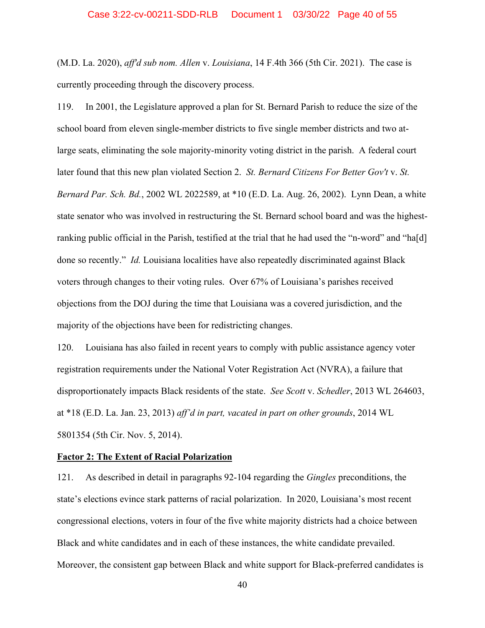(M.D. La. 2020), *aff'd sub nom. Allen* v. *Louisiana*, 14 F.4th 366 (5th Cir. 2021). The case is currently proceeding through the discovery process.

119. In 2001, the Legislature approved a plan for St. Bernard Parish to reduce the size of the school board from eleven single-member districts to five single member districts and two atlarge seats, eliminating the sole majority-minority voting district in the parish. A federal court later found that this new plan violated Section 2. *St. Bernard Citizens For Better Gov't* v. *St. Bernard Par. Sch. Bd.*, 2002 WL 2022589, at \*10 (E.D. La. Aug. 26, 2002). Lynn Dean, a white state senator who was involved in restructuring the St. Bernard school board and was the highestranking public official in the Parish, testified at the trial that he had used the "n-word" and "ha[d] done so recently." *Id.* Louisiana localities have also repeatedly discriminated against Black voters through changes to their voting rules. Over 67% of Louisiana's parishes received objections from the DOJ during the time that Louisiana was a covered jurisdiction, and the majority of the objections have been for redistricting changes.

120. Louisiana has also failed in recent years to comply with public assistance agency voter registration requirements under the National Voter Registration Act (NVRA), a failure that disproportionately impacts Black residents of the state. *See Scott* v. *Schedler*, 2013 WL 264603, at \*18 (E.D. La. Jan. 23, 2013) *aff'd in part, vacated in part on other grounds*, 2014 WL 5801354 (5th Cir. Nov. 5, 2014).

## **Factor 2: The Extent of Racial Polarization**

121. As described in detail in paragraphs 92-104 regarding the *Gingles* preconditions, the state's elections evince stark patterns of racial polarization. In 2020, Louisiana's most recent congressional elections, voters in four of the five white majority districts had a choice between Black and white candidates and in each of these instances, the white candidate prevailed. Moreover, the consistent gap between Black and white support for Black-preferred candidates is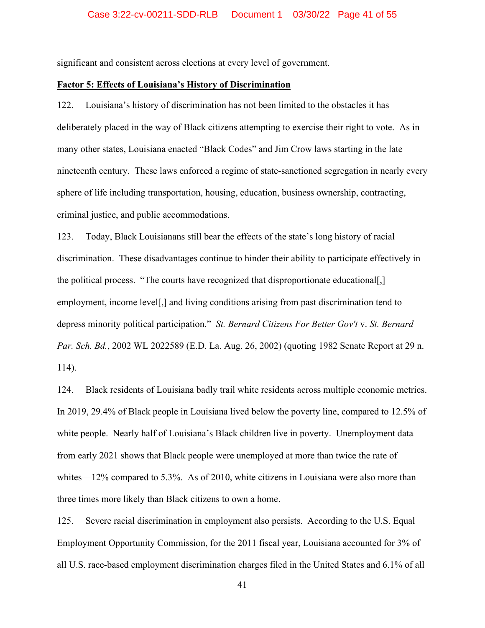significant and consistent across elections at every level of government.

## **Factor 5: Effects of Louisiana's History of Discrimination**

122. Louisiana's history of discrimination has not been limited to the obstacles it has deliberately placed in the way of Black citizens attempting to exercise their right to vote. As in many other states, Louisiana enacted "Black Codes" and Jim Crow laws starting in the late nineteenth century. These laws enforced a regime of state-sanctioned segregation in nearly every sphere of life including transportation, housing, education, business ownership, contracting, criminal justice, and public accommodations.

123. Today, Black Louisianans still bear the effects of the state's long history of racial discrimination. These disadvantages continue to hinder their ability to participate effectively in the political process. "The courts have recognized that disproportionate educational[,] employment, income level[,] and living conditions arising from past discrimination tend to depress minority political participation." *St. Bernard Citizens For Better Gov't* v. *St. Bernard Par. Sch. Bd.*, 2002 WL 2022589 (E.D. La. Aug. 26, 2002) (quoting 1982 Senate Report at 29 n. 114).

124. Black residents of Louisiana badly trail white residents across multiple economic metrics. In 2019, 29.4% of Black people in Louisiana lived below the poverty line, compared to 12.5% of white people. Nearly half of Louisiana's Black children live in poverty. Unemployment data from early 2021 shows that Black people were unemployed at more than twice the rate of whites—12% compared to 5.3%. As of 2010, white citizens in Louisiana were also more than three times more likely than Black citizens to own a home.

125. Severe racial discrimination in employment also persists. According to the U.S. Equal Employment Opportunity Commission, for the 2011 fiscal year, Louisiana accounted for 3% of all U.S. race-based employment discrimination charges filed in the United States and 6.1% of all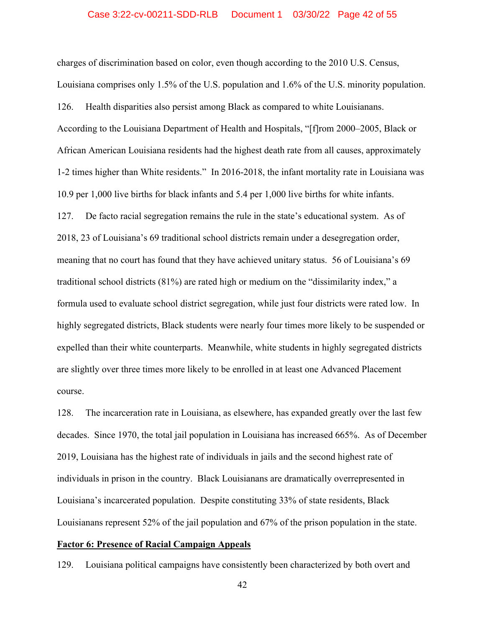charges of discrimination based on color, even though according to the 2010 U.S. Census, Louisiana comprises only 1.5% of the U.S. population and 1.6% of the U.S. minority population. 126. Health disparities also persist among Black as compared to white Louisianans. According to the Louisiana Department of Health and Hospitals, "[f]rom 2000–2005, Black or African American Louisiana residents had the highest death rate from all causes, approximately 1-2 times higher than White residents." In 2016-2018, the infant mortality rate in Louisiana was 10.9 per 1,000 live births for black infants and 5.4 per 1,000 live births for white infants. 127. De facto racial segregation remains the rule in the state's educational system. As of 2018, 23 of Louisiana's 69 traditional school districts remain under a desegregation order, meaning that no court has found that they have achieved unitary status. 56 of Louisiana's 69 traditional school districts (81%) are rated high or medium on the "dissimilarity index," a formula used to evaluate school district segregation, while just four districts were rated low. In highly segregated districts, Black students were nearly four times more likely to be suspended or expelled than their white counterparts. Meanwhile, white students in highly segregated districts are slightly over three times more likely to be enrolled in at least one Advanced Placement course.

128. The incarceration rate in Louisiana, as elsewhere, has expanded greatly over the last few decades. Since 1970, the total jail population in Louisiana has increased 665%. As of December 2019, Louisiana has the highest rate of individuals in jails and the second highest rate of individuals in prison in the country. Black Louisianans are dramatically overrepresented in Louisiana's incarcerated population. Despite constituting 33% of state residents, Black Louisianans represent 52% of the jail population and 67% of the prison population in the state.

#### **Factor 6: Presence of Racial Campaign Appeals**

129. Louisiana political campaigns have consistently been characterized by both overt and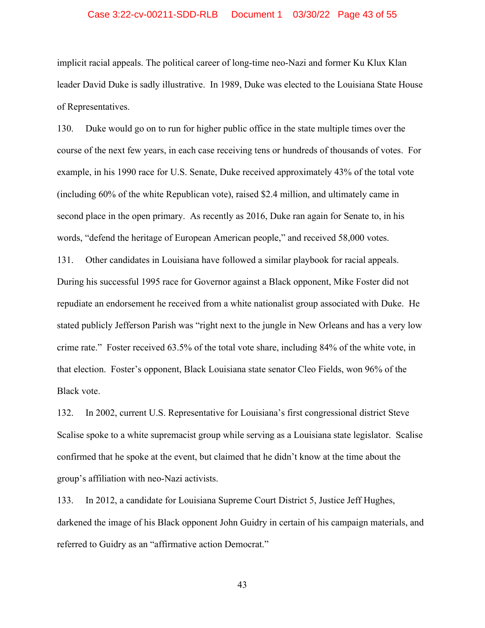## Case 3:22-cv-00211-SDD-RLB Document 1 03/30/22 Page 43 of 55

implicit racial appeals. The political career of long-time neo-Nazi and former Ku Klux Klan leader David Duke is sadly illustrative. In 1989, Duke was elected to the Louisiana State House of Representatives.

130. Duke would go on to run for higher public office in the state multiple times over the course of the next few years, in each case receiving tens or hundreds of thousands of votes. For example, in his 1990 race for U.S. Senate, Duke received approximately 43% of the total vote (including 60% of the white Republican vote), raised \$2.4 million, and ultimately came in second place in the open primary. As recently as 2016, Duke ran again for Senate to, in his words, "defend the heritage of European American people," and received 58,000 votes.

131. Other candidates in Louisiana have followed a similar playbook for racial appeals. During his successful 1995 race for Governor against a Black opponent, Mike Foster did not repudiate an endorsement he received from a white nationalist group associated with Duke. He stated publicly Jefferson Parish was "right next to the jungle in New Orleans and has a very low crime rate." Foster received 63.5% of the total vote share, including 84% of the white vote, in that election. Foster's opponent, Black Louisiana state senator Cleo Fields, won 96% of the Black vote.

132. In 2002, current U.S. Representative for Louisiana's first congressional district Steve Scalise spoke to a white supremacist group while serving as a Louisiana state legislator. Scalise confirmed that he spoke at the event, but claimed that he didn't know at the time about the group's affiliation with neo-Nazi activists.

133. In 2012, a candidate for Louisiana Supreme Court District 5, Justice Jeff Hughes, darkened the image of his Black opponent John Guidry in certain of his campaign materials, and referred to Guidry as an "affirmative action Democrat."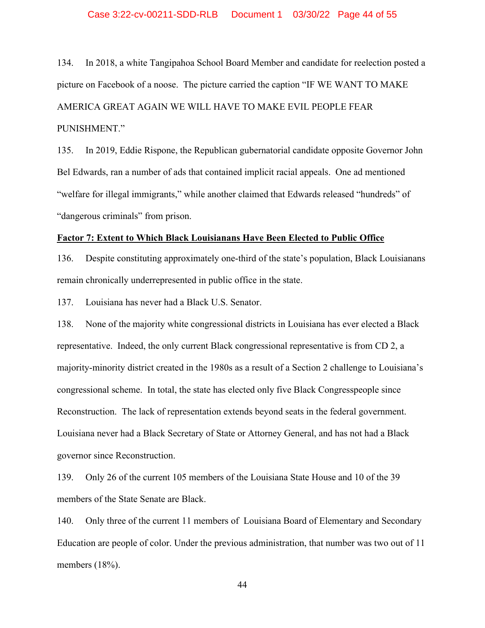## Case 3:22-cv-00211-SDD-RLB Document 1 03/30/22 Page 44 of 55

134. In 2018, a white Tangipahoa School Board Member and candidate for reelection posted a picture on Facebook of a noose. The picture carried the caption "IF WE WANT TO MAKE AMERICA GREAT AGAIN WE WILL HAVE TO MAKE EVIL PEOPLE FEAR PUNISHMENT."

135. In 2019, Eddie Rispone, the Republican gubernatorial candidate opposite Governor John Bel Edwards, ran a number of ads that contained implicit racial appeals. One ad mentioned "welfare for illegal immigrants," while another claimed that Edwards released "hundreds" of "dangerous criminals" from prison.

#### **Factor 7: Extent to Which Black Louisianans Have Been Elected to Public Office**

136. Despite constituting approximately one-third of the state's population, Black Louisianans remain chronically underrepresented in public office in the state.

137. Louisiana has never had a Black U.S. Senator.

138. None of the majority white congressional districts in Louisiana has ever elected a Black representative. Indeed, the only current Black congressional representative is from CD 2, a majority-minority district created in the 1980s as a result of a Section 2 challenge to Louisiana's congressional scheme. In total, the state has elected only five Black Congresspeople since Reconstruction. The lack of representation extends beyond seats in the federal government. Louisiana never had a Black Secretary of State or Attorney General, and has not had a Black governor since Reconstruction.

139. Only 26 of the current 105 members of the Louisiana State House and 10 of the 39 members of the State Senate are Black.

140. Only three of the current 11 members of Louisiana Board of Elementary and Secondary Education are people of color. Under the previous administration, that number was two out of 11 members (18%).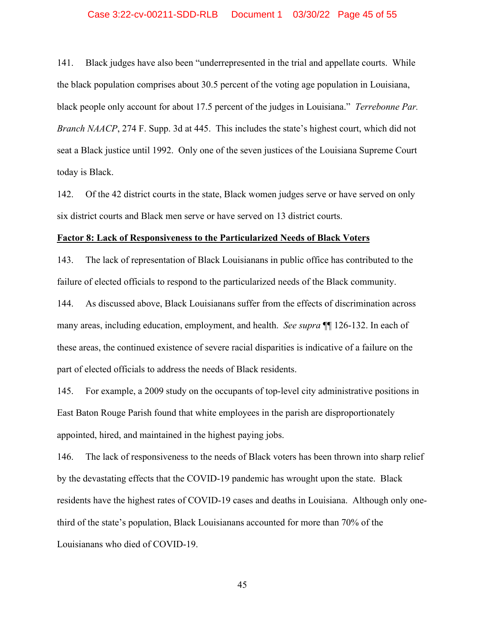## Case 3:22-cv-00211-SDD-RLB Document 1 03/30/22 Page 45 of 55

141. Black judges have also been "underrepresented in the trial and appellate courts. While the black population comprises about 30.5 percent of the voting age population in Louisiana, black people only account for about 17.5 percent of the judges in Louisiana." *Terrebonne Par. Branch NAACP*, 274 F. Supp. 3d at 445. This includes the state's highest court, which did not seat a Black justice until 1992. Only one of the seven justices of the Louisiana Supreme Court today is Black.

142. Of the 42 district courts in the state, Black women judges serve or have served on only six district courts and Black men serve or have served on 13 district courts.

#### **Factor 8: Lack of Responsiveness to the Particularized Needs of Black Voters**

143. The lack of representation of Black Louisianans in public office has contributed to the failure of elected officials to respond to the particularized needs of the Black community.

144. As discussed above, Black Louisianans suffer from the effects of discrimination across many areas, including education, employment, and health. *See supra* ¶¶ 126-132. In each of these areas, the continued existence of severe racial disparities is indicative of a failure on the part of elected officials to address the needs of Black residents.

145. For example, a 2009 study on the occupants of top-level city administrative positions in East Baton Rouge Parish found that white employees in the parish are disproportionately appointed, hired, and maintained in the highest paying jobs.

146. The lack of responsiveness to the needs of Black voters has been thrown into sharp relief by the devastating effects that the COVID-19 pandemic has wrought upon the state. Black residents have the highest rates of COVID-19 cases and deaths in Louisiana. Although only onethird of the state's population, Black Louisianans accounted for more than 70% of the Louisianans who died of COVID-19.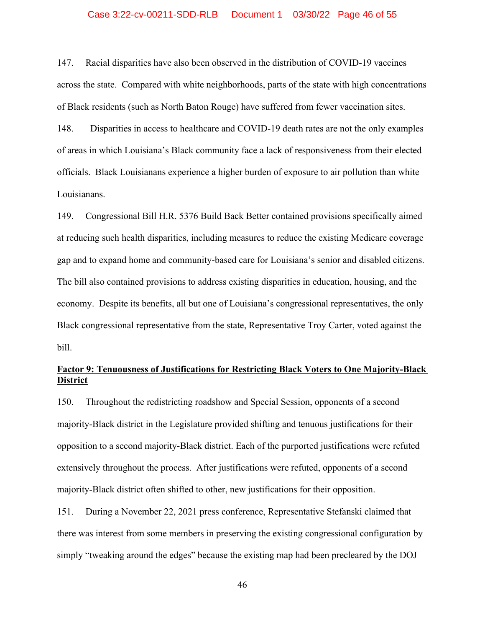## Case 3:22-cv-00211-SDD-RLB Document 1 03/30/22 Page 46 of 55

147. Racial disparities have also been observed in the distribution of COVID-19 vaccines across the state. Compared with white neighborhoods, parts of the state with high concentrations of Black residents (such as North Baton Rouge) have suffered from fewer vaccination sites.

148. Disparities in access to healthcare and COVID-19 death rates are not the only examples of areas in which Louisiana's Black community face a lack of responsiveness from their elected officials. Black Louisianans experience a higher burden of exposure to air pollution than white Louisianans.

149. Congressional Bill H.R. 5376 Build Back Better contained provisions specifically aimed at reducing such health disparities, including measures to reduce the existing Medicare coverage gap and to expand home and community-based care for Louisiana's senior and disabled citizens. The bill also contained provisions to address existing disparities in education, housing, and the economy. Despite its benefits, all but one of Louisiana's congressional representatives, the only Black congressional representative from the state, Representative Troy Carter, voted against the bill.

## **Factor 9: Tenuousness of Justifications for Restricting Black Voters to One Majority-Black District**

150. Throughout the redistricting roadshow and Special Session, opponents of a second majority-Black district in the Legislature provided shifting and tenuous justifications for their opposition to a second majority-Black district. Each of the purported justifications were refuted extensively throughout the process. After justifications were refuted, opponents of a second majority-Black district often shifted to other, new justifications for their opposition.

151. During a November 22, 2021 press conference, Representative Stefanski claimed that there was interest from some members in preserving the existing congressional configuration by simply "tweaking around the edges" because the existing map had been precleared by the DOJ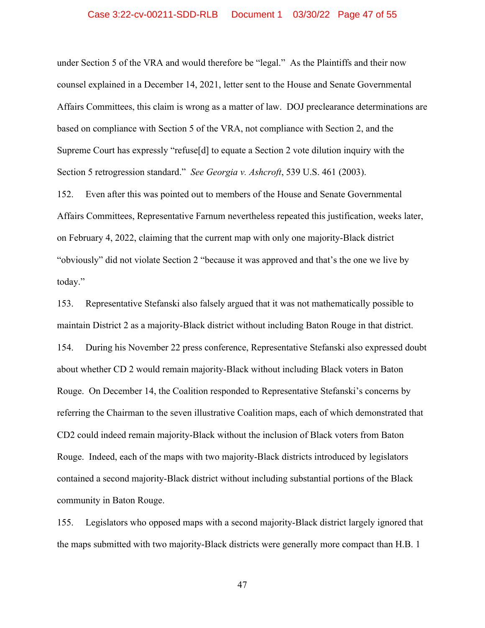## Case 3:22-cv-00211-SDD-RLB Document 1 03/30/22 Page 47 of 55

under Section 5 of the VRA and would therefore be "legal." As the Plaintiffs and their now counsel explained in a December 14, 2021, letter sent to the House and Senate Governmental Affairs Committees, this claim is wrong as a matter of law. DOJ preclearance determinations are based on compliance with Section 5 of the VRA, not compliance with Section 2, and the Supreme Court has expressly "refuse[d] to equate a Section 2 vote dilution inquiry with the Section 5 retrogression standard." *See Georgia v. Ashcroft*, 539 U.S. 461 (2003).

152. Even after this was pointed out to members of the House and Senate Governmental Affairs Committees, Representative Farnum nevertheless repeated this justification, weeks later, on February 4, 2022, claiming that the current map with only one majority-Black district "obviously" did not violate Section 2 "because it was approved and that's the one we live by today."

153. Representative Stefanski also falsely argued that it was not mathematically possible to maintain District 2 as a majority-Black district without including Baton Rouge in that district. 154. During his November 22 press conference, Representative Stefanski also expressed doubt about whether CD 2 would remain majority-Black without including Black voters in Baton Rouge. On December 14, the Coalition responded to Representative Stefanski's concerns by referring the Chairman to the seven illustrative Coalition maps, each of which demonstrated that CD2 could indeed remain majority-Black without the inclusion of Black voters from Baton Rouge. Indeed, each of the maps with two majority-Black districts introduced by legislators contained a second majority-Black district without including substantial portions of the Black community in Baton Rouge.

155. Legislators who opposed maps with a second majority-Black district largely ignored that the maps submitted with two majority-Black districts were generally more compact than H.B. 1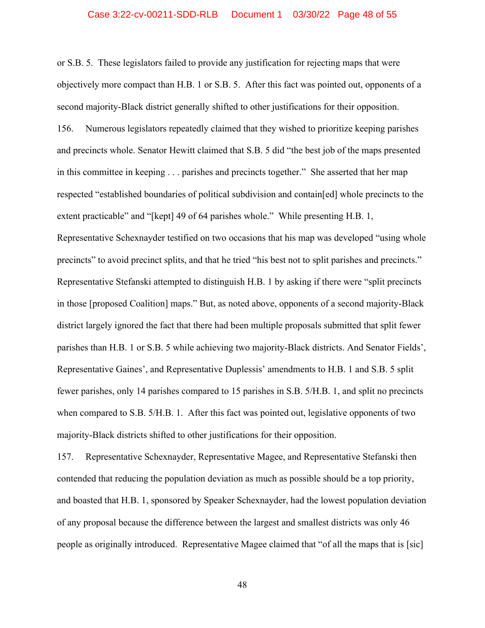## Case 3:22-cv-00211-SDD-RLB Document 1 03/30/22 Page 48 of 55

or S.B. 5. These legislators failed to provide any justification for rejecting maps that were objectively more compact than H.B. 1 or S.B. 5. After this fact was pointed out, opponents of a second majority-Black district generally shifted to other justifications for their opposition. 156. Numerous legislators repeatedly claimed that they wished to prioritize keeping parishes and precincts whole. Senator Hewitt claimed that S.B. 5 did "the best job of the maps presented in this committee in keeping . . . parishes and precincts together." She asserted that her map respected "established boundaries of political subdivision and contain[ed] whole precincts to the extent practicable" and "[kept] 49 of 64 parishes whole." While presenting H.B. 1, Representative Schexnayder testified on two occasions that his map was developed "using whole precincts" to avoid precinct splits, and that he tried "his best not to split parishes and precincts." Representative Stefanski attempted to distinguish H.B. 1 by asking if there were "split precincts in those [proposed Coalition] maps." But, as noted above, opponents of a second majority-Black district largely ignored the fact that there had been multiple proposals submitted that split fewer parishes than H.B. 1 or S.B. 5 while achieving two majority-Black districts. And Senator Fields', Representative Gaines', and Representative Duplessis' amendments to H.B. 1 and S.B. 5 split fewer parishes, only 14 parishes compared to 15 parishes in S.B. 5/H.B. 1, and split no precincts when compared to S.B. 5/H.B. 1. After this fact was pointed out, legislative opponents of two majority-Black districts shifted to other justifications for their opposition.

157. Representative Schexnayder, Representative Magee, and Representative Stefanski then contended that reducing the population deviation as much as possible should be a top priority, and boasted that H.B. 1, sponsored by Speaker Schexnayder, had the lowest population deviation of any proposal because the difference between the largest and smallest districts was only 46 people as originally introduced. Representative Magee claimed that "of all the maps that is [sic]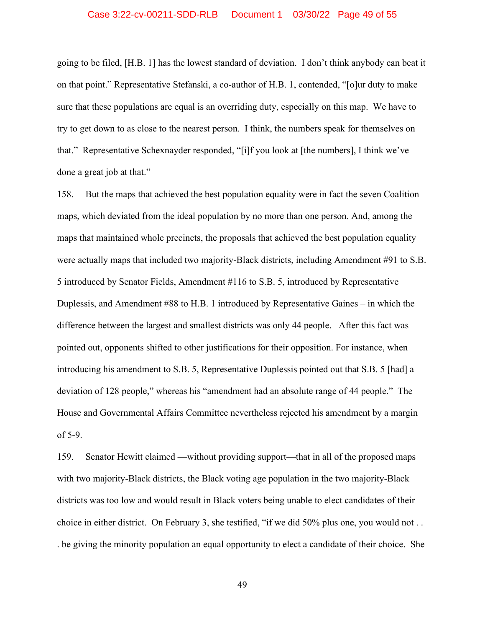## Case 3:22-cv-00211-SDD-RLB Document 1 03/30/22 Page 49 of 55

going to be filed, [H.B. 1] has the lowest standard of deviation. I don't think anybody can beat it on that point." Representative Stefanski, a co-author of H.B. 1, contended, "[o]ur duty to make sure that these populations are equal is an overriding duty, especially on this map. We have to try to get down to as close to the nearest person. I think, the numbers speak for themselves on that." Representative Schexnayder responded, "[i]f you look at [the numbers], I think we've done a great job at that."

158. But the maps that achieved the best population equality were in fact the seven Coalition maps, which deviated from the ideal population by no more than one person. And, among the maps that maintained whole precincts, the proposals that achieved the best population equality were actually maps that included two majority-Black districts, including Amendment #91 to S.B. 5 introduced by Senator Fields, Amendment #116 to S.B. 5, introduced by Representative Duplessis, and Amendment #88 to H.B. 1 introduced by Representative Gaines – in which the difference between the largest and smallest districts was only 44 people. After this fact was pointed out, opponents shifted to other justifications for their opposition. For instance, when introducing his amendment to S.B. 5, Representative Duplessis pointed out that S.B. 5 [had] a deviation of 128 people," whereas his "amendment had an absolute range of 44 people." The House and Governmental Affairs Committee nevertheless rejected his amendment by a margin of 5-9.

159. Senator Hewitt claimed —without providing support—that in all of the proposed maps with two majority-Black districts, the Black voting age population in the two majority-Black districts was too low and would result in Black voters being unable to elect candidates of their choice in either district. On February 3, she testified, "if we did 50% plus one, you would not . . . be giving the minority population an equal opportunity to elect a candidate of their choice. She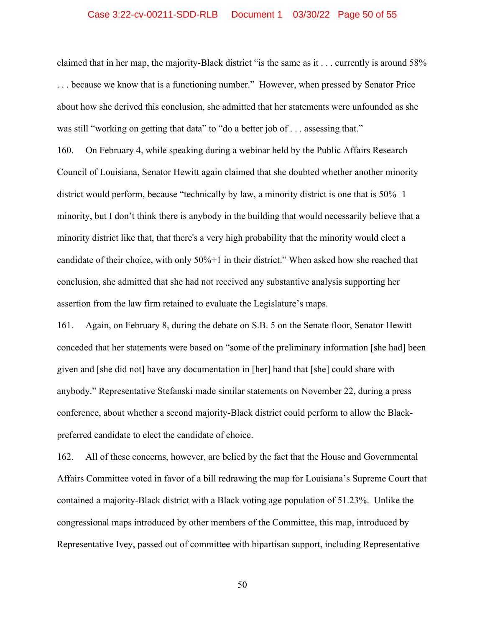## Case 3:22-cv-00211-SDD-RLB Document 1 03/30/22 Page 50 of 55

claimed that in her map, the majority-Black district "is the same as it . . . currently is around 58% . . . because we know that is a functioning number." However, when pressed by Senator Price about how she derived this conclusion, she admitted that her statements were unfounded as she was still "working on getting that data" to "do a better job of . . . assessing that."

160. On February 4, while speaking during a webinar held by the Public Affairs Research Council of Louisiana, Senator Hewitt again claimed that she doubted whether another minority district would perform, because "technically by law, a minority district is one that is 50%+1 minority, but I don't think there is anybody in the building that would necessarily believe that a minority district like that, that there's a very high probability that the minority would elect a candidate of their choice, with only 50%+1 in their district." When asked how she reached that conclusion, she admitted that she had not received any substantive analysis supporting her assertion from the law firm retained to evaluate the Legislature's maps.

161. Again, on February 8, during the debate on S.B. 5 on the Senate floor, Senator Hewitt conceded that her statements were based on "some of the preliminary information [she had] been given and [she did not] have any documentation in [her] hand that [she] could share with anybody." Representative Stefanski made similar statements on November 22, during a press conference, about whether a second majority-Black district could perform to allow the Blackpreferred candidate to elect the candidate of choice.

162. All of these concerns, however, are belied by the fact that the House and Governmental Affairs Committee voted in favor of a bill redrawing the map for Louisiana's Supreme Court that contained a majority-Black district with a Black voting age population of 51.23%. Unlike the congressional maps introduced by other members of the Committee, this map, introduced by Representative Ivey, passed out of committee with bipartisan support, including Representative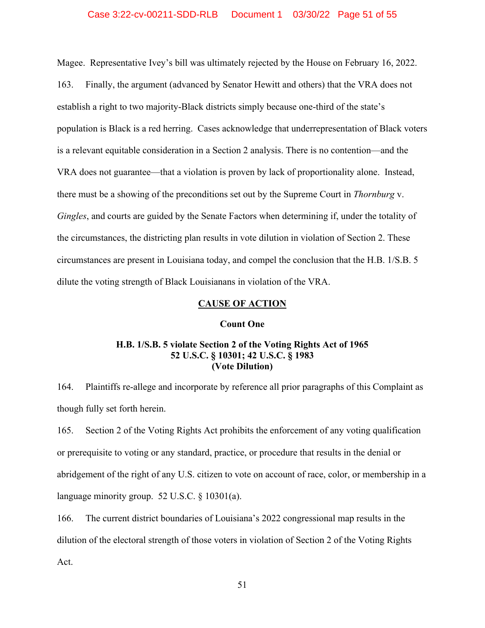## Case 3:22-cv-00211-SDD-RLB Document 1 03/30/22 Page 51 of 55

Magee. Representative Ivey's bill was ultimately rejected by the House on February 16, 2022.

163. Finally, the argument (advanced by Senator Hewitt and others) that the VRA does not establish a right to two majority-Black districts simply because one-third of the state's population is Black is a red herring. Cases acknowledge that underrepresentation of Black voters is a relevant equitable consideration in a Section 2 analysis. There is no contention—and the VRA does not guarantee—that a violation is proven by lack of proportionality alone. Instead, there must be a showing of the preconditions set out by the Supreme Court in *Thornburg* v. *Gingles*, and courts are guided by the Senate Factors when determining if, under the totality of the circumstances, the districting plan results in vote dilution in violation of Section 2. These circumstances are present in Louisiana today, and compel the conclusion that the H.B. 1/S.B. 5 dilute the voting strength of Black Louisianans in violation of the VRA.

## **CAUSE OF ACTION**

## **Count One**

## **H.B. 1/S.B. 5 violate Section 2 of the Voting Rights Act of 1965 52 U.S.C. § 10301; 42 U.S.C. § 1983 (Vote Dilution)**

164. Plaintiffs re-allege and incorporate by reference all prior paragraphs of this Complaint as though fully set forth herein.

165. Section 2 of the Voting Rights Act prohibits the enforcement of any voting qualification or prerequisite to voting or any standard, practice, or procedure that results in the denial or abridgement of the right of any U.S. citizen to vote on account of race, color, or membership in a language minority group. 52 U.S.C. § 10301(a).

166. The current district boundaries of Louisiana's 2022 congressional map results in the dilution of the electoral strength of those voters in violation of Section 2 of the Voting Rights Act.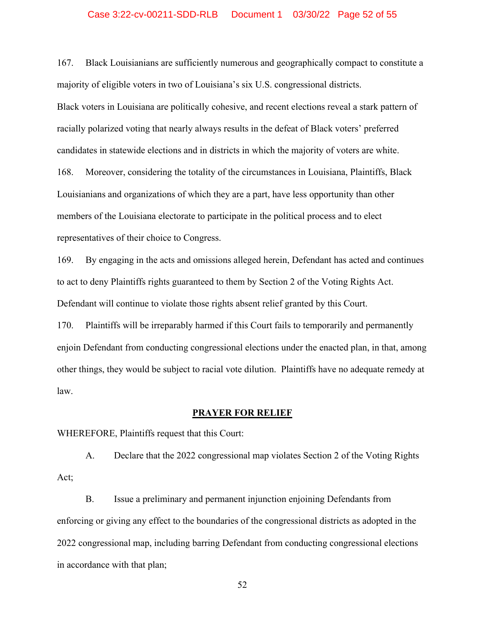## Case 3:22-cv-00211-SDD-RLB Document 1 03/30/22 Page 52 of 55

167. Black Louisianians are sufficiently numerous and geographically compact to constitute a majority of eligible voters in two of Louisiana's six U.S. congressional districts. Black voters in Louisiana are politically cohesive, and recent elections reveal a stark pattern of racially polarized voting that nearly always results in the defeat of Black voters' preferred candidates in statewide elections and in districts in which the majority of voters are white. 168. Moreover, considering the totality of the circumstances in Louisiana, Plaintiffs, Black Louisianians and organizations of which they are a part, have less opportunity than other members of the Louisiana electorate to participate in the political process and to elect representatives of their choice to Congress.

169. By engaging in the acts and omissions alleged herein, Defendant has acted and continues to act to deny Plaintiffs rights guaranteed to them by Section 2 of the Voting Rights Act. Defendant will continue to violate those rights absent relief granted by this Court.

170. Plaintiffs will be irreparably harmed if this Court fails to temporarily and permanently enjoin Defendant from conducting congressional elections under the enacted plan, in that, among other things, they would be subject to racial vote dilution. Plaintiffs have no adequate remedy at law.

## **PRAYER FOR RELIEF**

WHEREFORE, Plaintiffs request that this Court:

A. Declare that the 2022 congressional map violates Section 2 of the Voting Rights Act;

B. Issue a preliminary and permanent injunction enjoining Defendants from enforcing or giving any effect to the boundaries of the congressional districts as adopted in the 2022 congressional map, including barring Defendant from conducting congressional elections in accordance with that plan;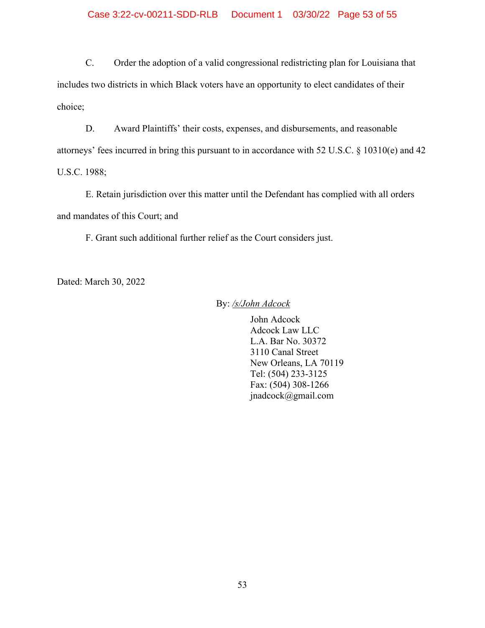# Case 3:22-cv-00211-SDD-RLB Document 1 03/30/22 Page 53 of 55

C. Order the adoption of a valid congressional redistricting plan for Louisiana that includes two districts in which Black voters have an opportunity to elect candidates of their choice;

D. Award Plaintiffs' their costs, expenses, and disbursements, and reasonable attorneys' fees incurred in bring this pursuant to in accordance with 52 U.S.C. § 10310(e) and 42 U.S.C. 1988;

E. Retain jurisdiction over this matter until the Defendant has complied with all orders and mandates of this Court; and

F. Grant such additional further relief as the Court considers just.

Dated: March 30, 2022

By: */s/John Adcock*

John Adcock Adcock Law LLC L.A. Bar No. 30372 3110 Canal Street New Orleans, LA 70119 Tel: (504) 233-3125 Fax: (504) 308-1266 jnadcock@gmail.com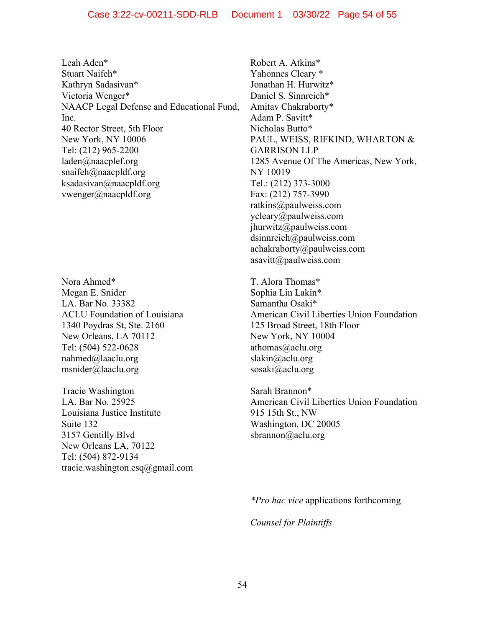Leah Aden\* Stuart Naifeh\* Kathryn Sadasivan\* Victoria Wenger\* NAACP Legal Defense and Educational Fund, Inc. 40 Rector Street, 5th Floor New York, NY 10006 Tel: (212) 965-2200 laden@naacplef.org snaifeh@naacpldf.org ksadasivan@naacpldf.org vwenger@naacpldf.org

Nora Ahmed\* Megan E. Snider LA. Bar No. 33382 ACLU Foundation of Louisiana 1340 Poydras St, Ste. 2160 New Orleans, LA 70112 Tel: (504) 522-0628 nahmed@laaclu.org msnider@laaclu.org

Tracie Washington LA. Bar No. 25925 Louisiana Justice Institute Suite 132 3157 Gentilly Blvd New Orleans LA, 70122 Tel: (504) 872-9134 tracie.washington.esq@gmail.com Robert A. Atkins\* Yahonnes Cleary \* Jonathan H. Hurwitz\* Daniel S. Sinnreich\* Amitav Chakraborty\* Adam P. Savitt\* Nicholas Butto\* PAUL, WEISS, RIFKIND, WHARTON & GARRISON LLP 1285 Avenue Of The Americas, New York, NY 10019 Tel.: (212) 373-3000 Fax: (212) 757-3990 ratkins@paulweiss.com ycleary@paulweiss.com jhurwitz@paulweiss.com dsinnreich@paulweiss.com achakraborty@paulweiss.com asavitt@paulweiss.com

T. Alora Thomas\* Sophia Lin Lakin\* Samantha Osaki\* American Civil Liberties Union Foundation 125 Broad Street, 18th Floor New York, NY 10004 athomas@aclu.org slakin@aclu.org sosaki@aclu.org

Sarah Brannon\* American Civil Liberties Union Foundation 915 15th St., NW Washington, DC 20005 sbrannon@aclu.org

*\*Pro hac vice* applications forthcoming

*Counsel for Plaintiffs*